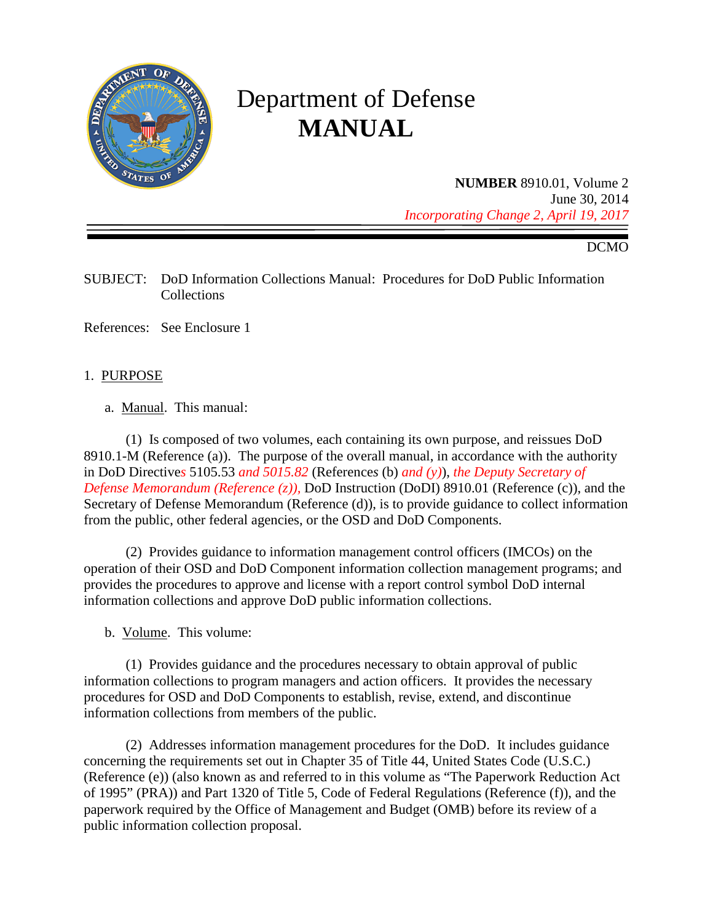

# Department of Defense **MANUAL**

**NUMBER** 8910.01, Volume 2 June 30, 2014 *Incorporating Change 2, April 19, 2017*

DCMO

SUBJECT: DoD Information Collections Manual: Procedures for DoD Public Information **Collections** 

References: See Enclosure 1

#### 1. PURPOSE

a. Manual. This manual:

(1) Is composed of two volumes, each containing its own purpose, and reissues DoD 8910.1-M (Reference (a)). The purpose of the overall manual, in accordance with the authority in DoD Directive*s* 5105.53 *and 5015.82* (Reference*s* (b) *and (y)*), *the Deputy Secretary of Defense Memorandum (Reference (z)), DoD Instruction (DoDI) 8910.01 (Reference (c)), and the* Secretary of Defense Memorandum (Reference (d)), is to provide guidance to collect information from the public, other federal agencies, or the OSD and DoD Components.

(2) Provides guidance to information management control officers (IMCOs) on the operation of their OSD and DoD Component information collection management programs; and provides the procedures to approve and license with a report control symbol DoD internal information collections and approve DoD public information collections.

b. Volume. This volume:

(1) Provides guidance and the procedures necessary to obtain approval of public information collections to program managers and action officers. It provides the necessary procedures for OSD and DoD Components to establish, revise, extend, and discontinue information collections from members of the public.

(2) Addresses information management procedures for the DoD. It includes guidance concerning the requirements set out in Chapter 35 of Title 44, United States Code (U.S.C.) (Reference (e)) (also known as and referred to in this volume as "The Paperwork Reduction Act of 1995" (PRA)) and Part 1320 of Title 5, Code of Federal Regulations (Reference (f)), and the paperwork required by the Office of Management and Budget (OMB) before its review of a public information collection proposal.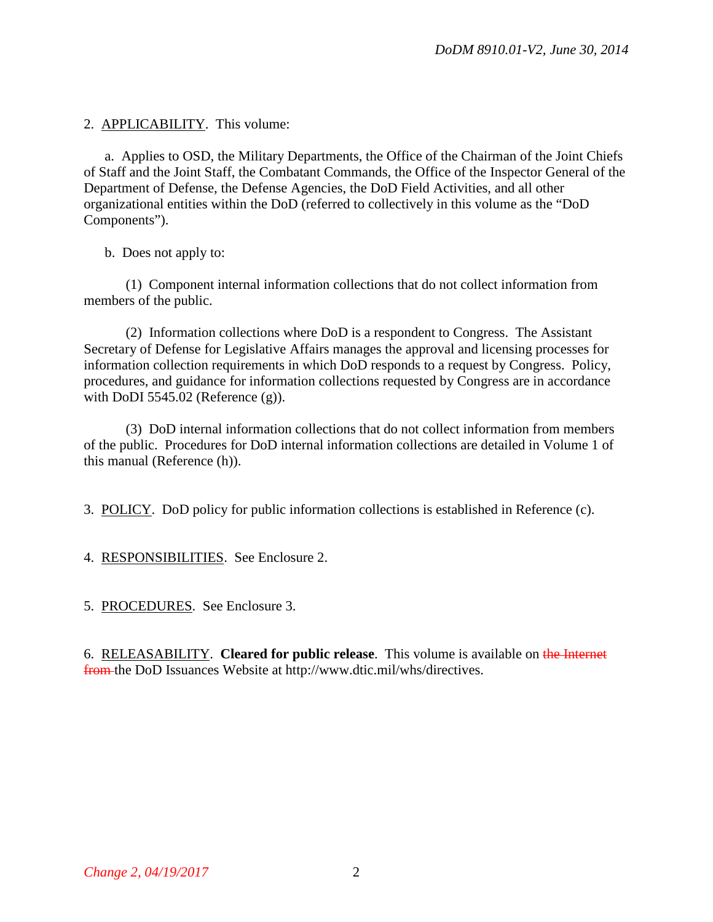2. APPLICABILITY. This volume:

a. Applies to OSD, the Military Departments, the Office of the Chairman of the Joint Chiefs of Staff and the Joint Staff, the Combatant Commands, the Office of the Inspector General of the Department of Defense, the Defense Agencies, the DoD Field Activities, and all other organizational entities within the DoD (referred to collectively in this volume as the "DoD Components").

b. Does not apply to:

(1) Component internal information collections that do not collect information from members of the public.

(2) Information collections where DoD is a respondent to Congress. The Assistant Secretary of Defense for Legislative Affairs manages the approval and licensing processes for information collection requirements in which DoD responds to a request by Congress. Policy, procedures, and guidance for information collections requested by Congress are in accordance with DoDI 5545.02 (Reference (g)).

(3) DoD internal information collections that do not collect information from members of the public. Procedures for DoD internal information collections are detailed in Volume 1 of this manual (Reference (h)).

3. POLICY. DoD policy for public information collections is established in Reference (c).

4. RESPONSIBILITIES. See Enclosure 2.

5. PROCEDURES. See Enclosure 3.

6. RELEASABILITY. **Cleared for public release**. This volume is available on the Internet from the DoD Issuances Website at http://www.dtic.mil/whs/directives.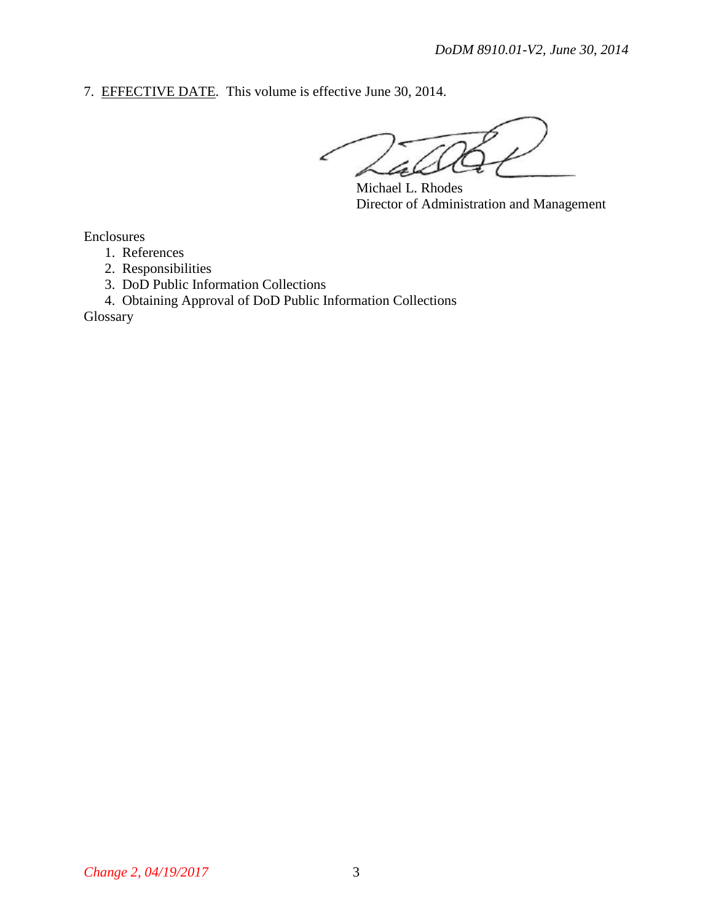7. EFFECTIVE DATE. This volume is effective June 30, 2014.

Michael L. Rhodes Director of Administration and Management

Enclosures

1. References

2. Responsibilities

3. DoD Public Information Collections

4. Obtaining Approval of DoD Public Information Collections

Glossary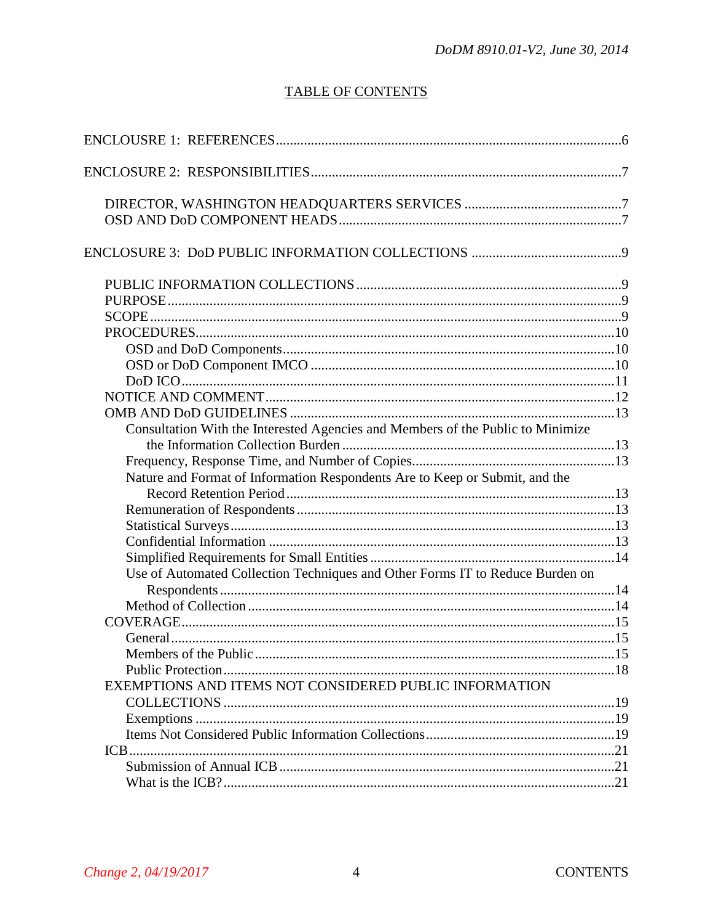# **TABLE OF CONTENTS**

| Consultation With the Interested Agencies and Members of the Public to Minimize |  |
|---------------------------------------------------------------------------------|--|
|                                                                                 |  |
|                                                                                 |  |
| Nature and Format of Information Respondents Are to Keep or Submit, and the     |  |
|                                                                                 |  |
|                                                                                 |  |
|                                                                                 |  |
|                                                                                 |  |
|                                                                                 |  |
| Use of Automated Collection Techniques and Other Forms IT to Reduce Burden on   |  |
|                                                                                 |  |
|                                                                                 |  |
|                                                                                 |  |
|                                                                                 |  |
| Members of the Public                                                           |  |
|                                                                                 |  |
| EXEMPTIONS AND ITEMS NOT CONSIDERED PUBLIC INFORMATION                          |  |
|                                                                                 |  |
|                                                                                 |  |
|                                                                                 |  |
|                                                                                 |  |
|                                                                                 |  |
|                                                                                 |  |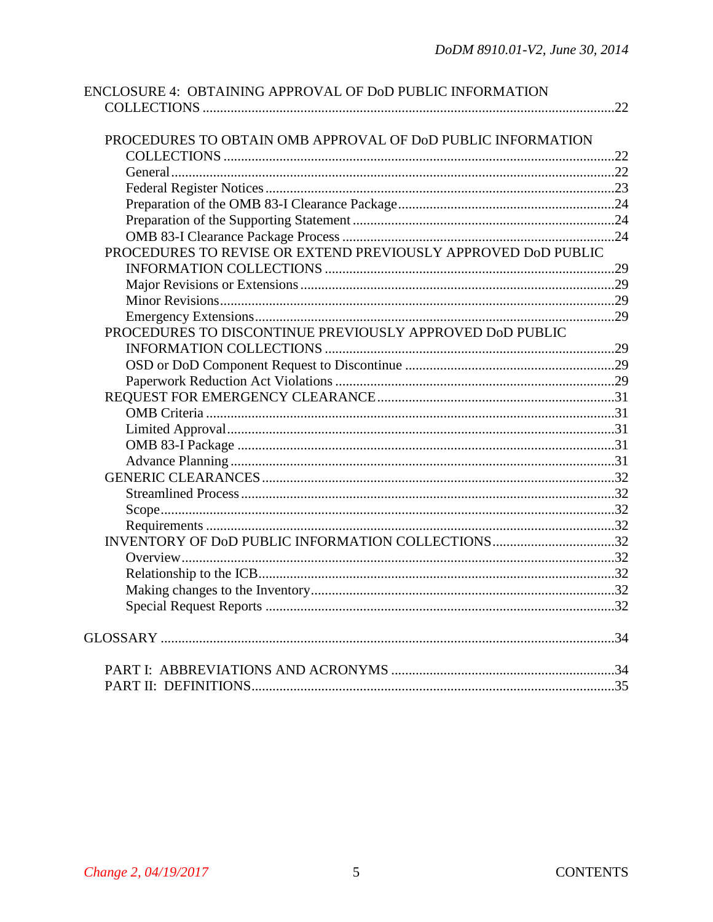| ENCLOSURE 4: OBTAINING APPROVAL OF DoD PUBLIC INFORMATION     |     |
|---------------------------------------------------------------|-----|
|                                                               | .22 |
|                                                               |     |
| PROCEDURES TO OBTAIN OMB APPROVAL OF DOD PUBLIC INFORMATION   |     |
|                                                               |     |
|                                                               |     |
|                                                               |     |
|                                                               |     |
|                                                               |     |
|                                                               |     |
| PROCEDURES TO REVISE OR EXTEND PREVIOUSLY APPROVED DoD PUBLIC |     |
|                                                               |     |
|                                                               |     |
|                                                               |     |
|                                                               |     |
| PROCEDURES TO DISCONTINUE PREVIOUSLY APPROVED DoD PUBLIC      |     |
|                                                               |     |
|                                                               |     |
|                                                               |     |
|                                                               |     |
|                                                               |     |
|                                                               |     |
|                                                               |     |
|                                                               |     |
|                                                               |     |
|                                                               |     |
|                                                               |     |
|                                                               |     |
| INVENTORY OF DoD PUBLIC INFORMATION COLLECTIONS 32            |     |
|                                                               |     |
|                                                               |     |
|                                                               |     |
|                                                               |     |
|                                                               |     |
|                                                               |     |
|                                                               |     |
|                                                               |     |
|                                                               |     |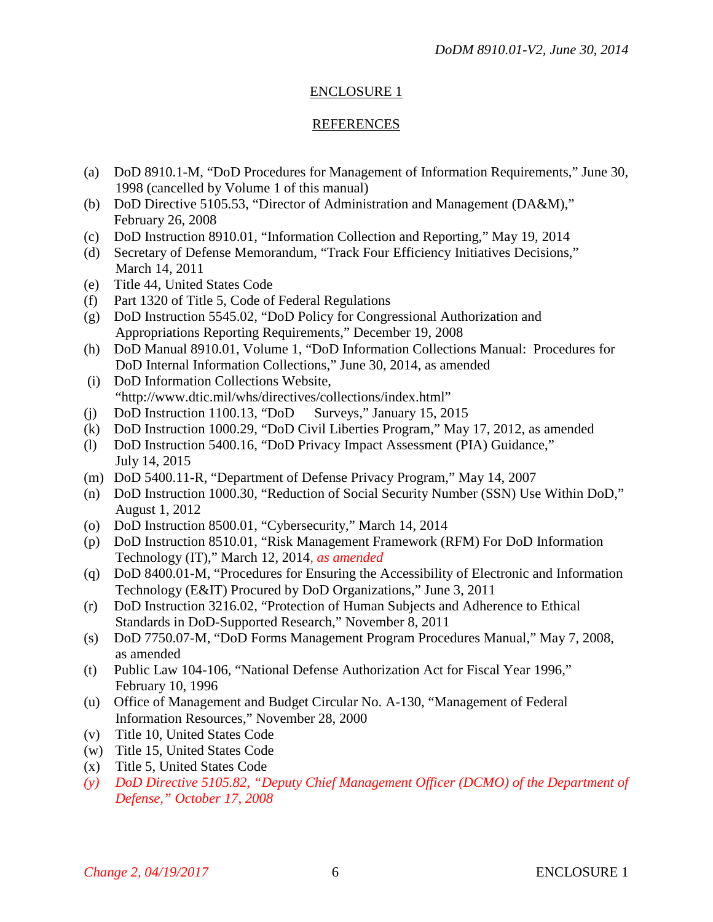## ENCLOSURE 1

#### REFERENCES

- (a) DoD 8910.1-M, "DoD Procedures for Management of Information Requirements," June 30, 1998 (cancelled by Volume 1 of this manual)
- (b) DoD Directive 5105.53, "Director of Administration and Management (DA&M)," February 26, 2008
- (c) DoD Instruction 8910.01, "Information Collection and Reporting," May 19, 2014
- (d) Secretary of Defense Memorandum, "Track Four Efficiency Initiatives Decisions," March 14, 2011
- (e) Title 44, United States Code
- (f) Part 1320 of Title 5, Code of Federal Regulations
- (g) DoD Instruction 5545.02, "DoD Policy for Congressional Authorization and Appropriations Reporting Requirements," December 19, 2008
- (h) DoD Manual 8910.01, Volume 1, "DoD Information Collections Manual: Procedures for DoD Internal Information Collections," June 30, 2014, as amended
- (i) DoD Information Collections Website, "http://www.dtic.mil/whs/directives/collections/index.html"
- (j) DoD Instruction 1100.13, "DoD Surveys," January 15, 2015
- (k) DoD Instruction 1000.29, "DoD Civil Liberties Program," May 17, 2012, as amended
- (l) DoD Instruction 5400.16, "DoD Privacy Impact Assessment (PIA) Guidance," July 14, 2015
- (m) DoD 5400.11-R, "Department of Defense Privacy Program," May 14, 2007
- (n) DoD Instruction 1000.30, "Reduction of Social Security Number (SSN) Use Within DoD," August 1, 2012
- (o) DoD Instruction 8500.01, "Cybersecurity," March 14, 2014
- (p) DoD Instruction 8510.01, "Risk Management Framework (RFM) For DoD Information Technology (IT)," March 12, 2014*, as amended*
- (q) DoD 8400.01-M, "Procedures for Ensuring the Accessibility of Electronic and Information Technology (E&IT) Procured by DoD Organizations," June 3, 2011
- (r) DoD Instruction 3216.02, "Protection of Human Subjects and Adherence to Ethical Standards in DoD-Supported Research," November 8, 2011
- (s) DoD 7750.07-M, "DoD Forms Management Program Procedures Manual," May 7, 2008, as amended
- (t) Public Law 104-106, "National Defense Authorization Act for Fiscal Year 1996," February 10, 1996
- (u) Office of Management and Budget Circular No. A-130, "Management of Federal Information Resources," November 28, 2000
- (v) Title 10, United States Code
- (w) Title 15, United States Code
- (x) Title 5, United States Code
- *(y) DoD Directive 5105.82, "Deputy Chief Management Officer (DCMO) of the Department of Defense," October 17, 2008*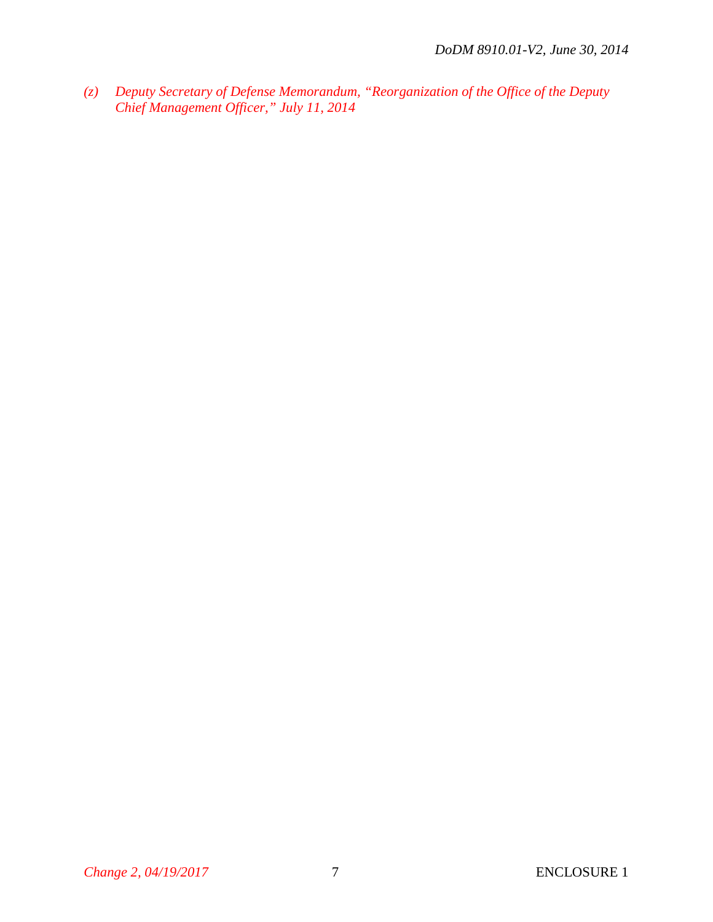*(z) Deputy Secretary of Defense Memorandum, "Reorganization of the Office of the Deputy Chief Management Officer," July 11, 2014*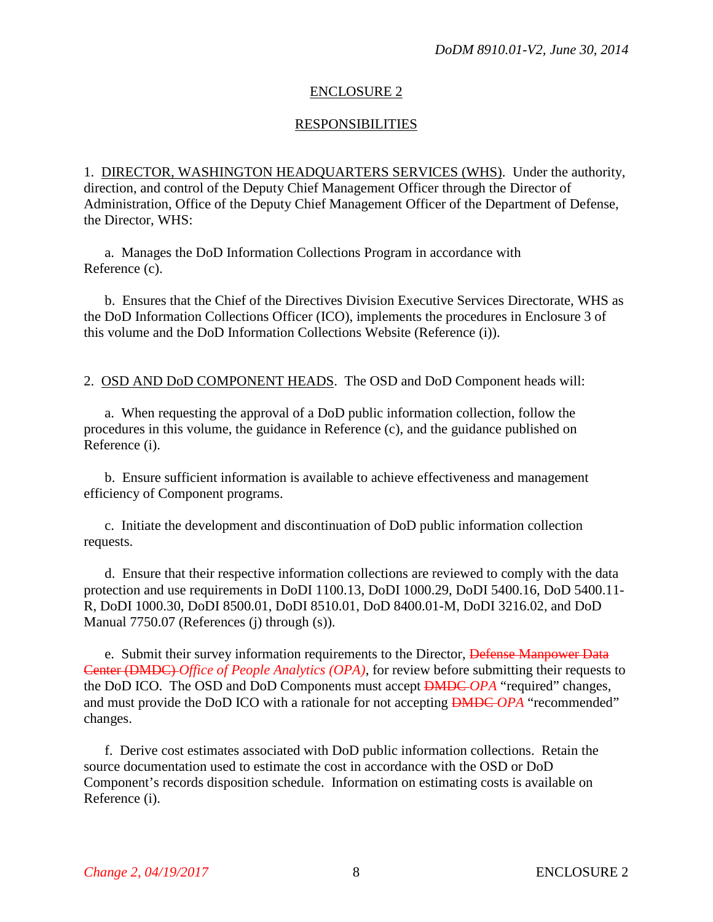## ENCLOSURE 2

## **RESPONSIBILITIES**

1. DIRECTOR, WASHINGTON HEADQUARTERS SERVICES (WHS). Under the authority, direction, and control of the Deputy Chief Management Officer through the Director of Administration, Office of the Deputy Chief Management Officer of the Department of Defense, the Director, WHS:

a. Manages the DoD Information Collections Program in accordance with Reference (c).

b. Ensures that the Chief of the Directives Division Executive Services Directorate, WHS as the DoD Information Collections Officer (ICO), implements the procedures in Enclosure 3 of this volume and the DoD Information Collections Website (Reference (i)).

2. OSD AND DoD COMPONENT HEADS. The OSD and DoD Component heads will:

a. When requesting the approval of a DoD public information collection, follow the procedures in this volume, the guidance in Reference (c), and the guidance published on Reference (i).

b. Ensure sufficient information is available to achieve effectiveness and management efficiency of Component programs.

c. Initiate the development and discontinuation of DoD public information collection requests.

d. Ensure that their respective information collections are reviewed to comply with the data protection and use requirements in DoDI 1100.13, DoDI 1000.29, DoDI 5400.16, DoD 5400.11- R, DoDI 1000.30, DoDI 8500.01, DoDI 8510.01, DoD 8400.01-M, DoDI 3216.02, and DoD Manual 7750.07 (References (j) through (s)).

e. Submit their survey information requirements to the Director, Defense Manpower Data Center (DMDC) *Office of People Analytics (OPA)*, for review before submitting their requests to the DoD ICO. The OSD and DoD Components must accept DMDC *OPA* "required" changes, and must provide the DoD ICO with a rationale for not accepting DMDC *OPA* "recommended" changes.

f. Derive cost estimates associated with DoD public information collections. Retain the source documentation used to estimate the cost in accordance with the OSD or DoD Component's records disposition schedule. Information on estimating costs is available on Reference (i).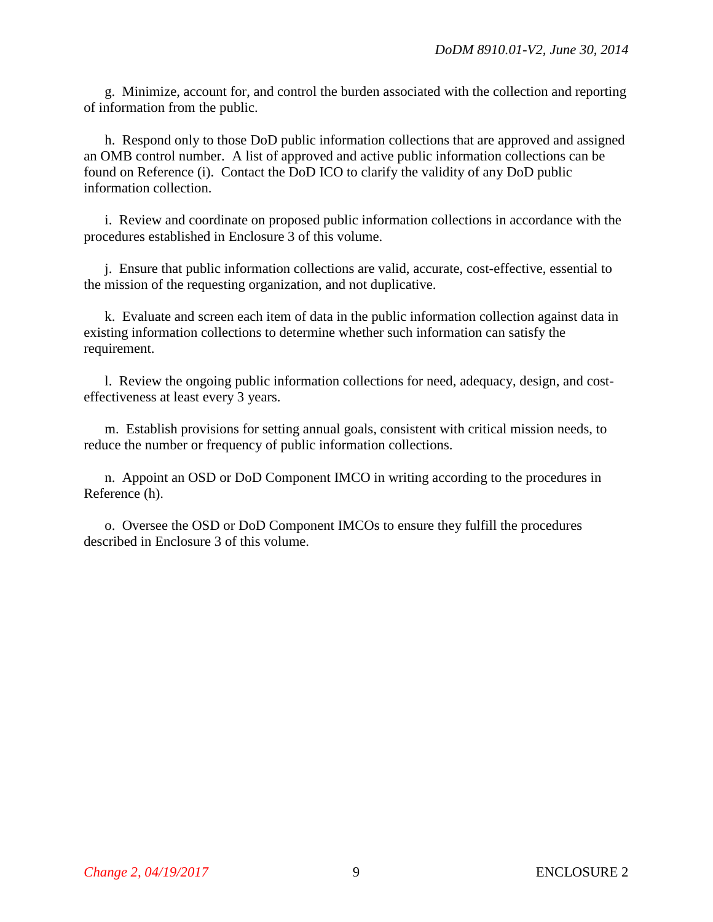g. Minimize, account for, and control the burden associated with the collection and reporting of information from the public.

h. Respond only to those DoD public information collections that are approved and assigned an OMB control number. A list of approved and active public information collections can be found on Reference (i). Contact the DoD ICO to clarify the validity of any DoD public information collection.

i. Review and coordinate on proposed public information collections in accordance with the procedures established in Enclosure 3 of this volume.

j. Ensure that public information collections are valid, accurate, cost-effective, essential to the mission of the requesting organization, and not duplicative.

k. Evaluate and screen each item of data in the public information collection against data in existing information collections to determine whether such information can satisfy the requirement.

l. Review the ongoing public information collections for need, adequacy, design, and costeffectiveness at least every 3 years.

m. Establish provisions for setting annual goals, consistent with critical mission needs, to reduce the number or frequency of public information collections.

n. Appoint an OSD or DoD Component IMCO in writing according to the procedures in Reference (h).

o. Oversee the OSD or DoD Component IMCOs to ensure they fulfill the procedures described in Enclosure 3 of this volume.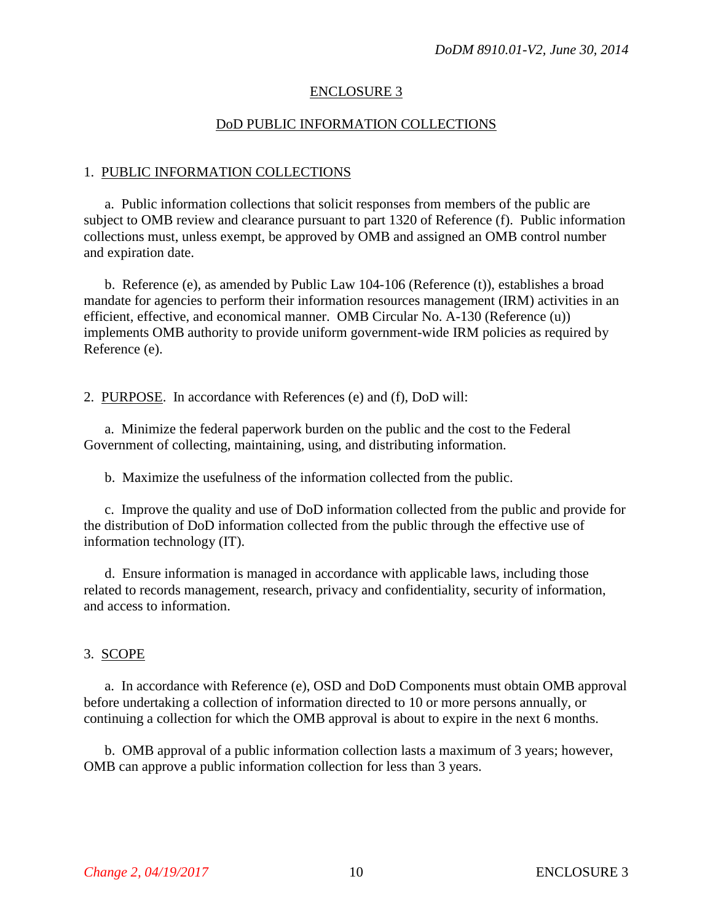#### ENCLOSURE 3

#### DoD PUBLIC INFORMATION COLLECTIONS

#### 1. PUBLIC INFORMATION COLLECTIONS

a. Public information collections that solicit responses from members of the public are subject to OMB review and clearance pursuant to part 1320 of Reference (f). Public information collections must, unless exempt, be approved by OMB and assigned an OMB control number and expiration date.

b. Reference (e), as amended by Public Law 104-106 (Reference (t)), establishes a broad mandate for agencies to perform their information resources management (IRM) activities in an efficient, effective, and economical manner. OMB Circular No. A-130 (Reference (u)) implements OMB authority to provide uniform government-wide IRM policies as required by Reference (e).

2. PURPOSE. In accordance with References (e) and (f), DoD will:

a. Minimize the federal paperwork burden on the public and the cost to the Federal Government of collecting, maintaining, using, and distributing information.

b. Maximize the usefulness of the information collected from the public.

c. Improve the quality and use of DoD information collected from the public and provide for the distribution of DoD information collected from the public through the effective use of information technology (IT).

d. Ensure information is managed in accordance with applicable laws, including those related to records management, research, privacy and confidentiality, security of information, and access to information.

#### 3. SCOPE

a. In accordance with Reference (e), OSD and DoD Components must obtain OMB approval before undertaking a collection of information directed to 10 or more persons annually, or continuing a collection for which the OMB approval is about to expire in the next 6 months.

b. OMB approval of a public information collection lasts a maximum of 3 years; however, OMB can approve a public information collection for less than 3 years.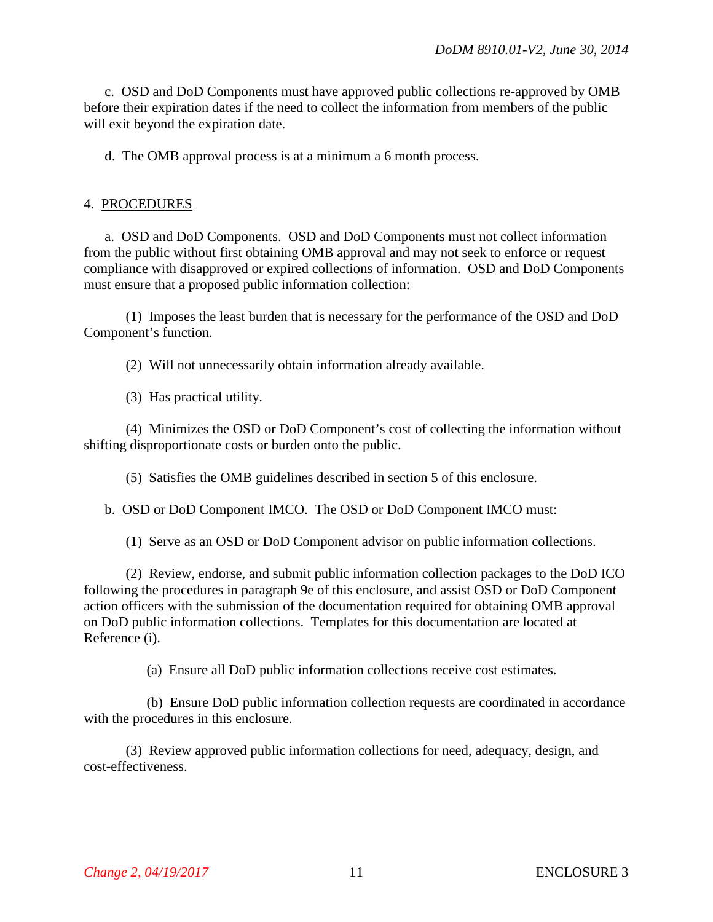c. OSD and DoD Components must have approved public collections re-approved by OMB before their expiration dates if the need to collect the information from members of the public will exit beyond the expiration date.

d. The OMB approval process is at a minimum a 6 month process.

#### 4. PROCEDURES

a. OSD and DoD Components. OSD and DoD Components must not collect information from the public without first obtaining OMB approval and may not seek to enforce or request compliance with disapproved or expired collections of information. OSD and DoD Components must ensure that a proposed public information collection:

(1) Imposes the least burden that is necessary for the performance of the OSD and DoD Component's function.

(2) Will not unnecessarily obtain information already available.

(3) Has practical utility.

(4) Minimizes the OSD or DoD Component's cost of collecting the information without shifting disproportionate costs or burden onto the public.

(5) Satisfies the OMB guidelines described in section 5 of this enclosure.

b. OSD or DoD Component IMCO. The OSD or DoD Component IMCO must:

(1) Serve as an OSD or DoD Component advisor on public information collections.

(2) Review, endorse, and submit public information collection packages to the DoD ICO following the procedures in paragraph 9e of this enclosure, and assist OSD or DoD Component action officers with the submission of the documentation required for obtaining OMB approval on DoD public information collections. Templates for this documentation are located at Reference (i).

(a) Ensure all DoD public information collections receive cost estimates.

(b) Ensure DoD public information collection requests are coordinated in accordance with the procedures in this enclosure.

(3) Review approved public information collections for need, adequacy, design, and cost-effectiveness.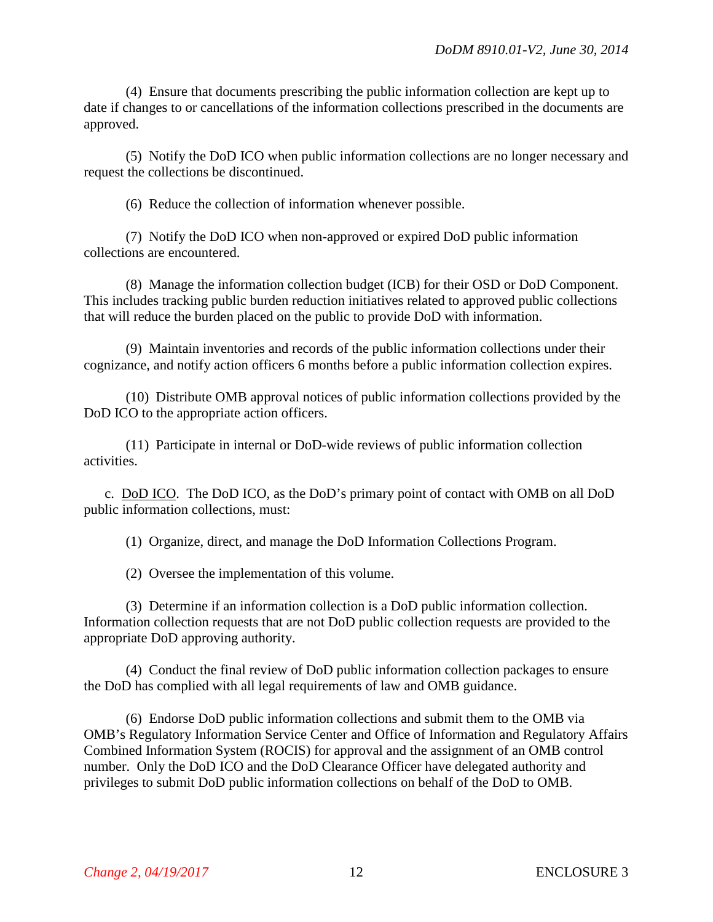(4) Ensure that documents prescribing the public information collection are kept up to date if changes to or cancellations of the information collections prescribed in the documents are approved.

(5) Notify the DoD ICO when public information collections are no longer necessary and request the collections be discontinued.

(6) Reduce the collection of information whenever possible.

(7) Notify the DoD ICO when non-approved or expired DoD public information collections are encountered.

(8) Manage the information collection budget (ICB) for their OSD or DoD Component. This includes tracking public burden reduction initiatives related to approved public collections that will reduce the burden placed on the public to provide DoD with information.

(9) Maintain inventories and records of the public information collections under their cognizance, and notify action officers 6 months before a public information collection expires.

(10) Distribute OMB approval notices of public information collections provided by the DoD ICO to the appropriate action officers.

(11) Participate in internal or DoD-wide reviews of public information collection activities.

c. DoD ICO. The DoD ICO, as the DoD's primary point of contact with OMB on all DoD public information collections, must:

(1) Organize, direct, and manage the DoD Information Collections Program.

(2) Oversee the implementation of this volume.

(3) Determine if an information collection is a DoD public information collection. Information collection requests that are not DoD public collection requests are provided to the appropriate DoD approving authority.

(4) Conduct the final review of DoD public information collection packages to ensure the DoD has complied with all legal requirements of law and OMB guidance.

(6) Endorse DoD public information collections and submit them to the OMB via OMB's Regulatory Information Service Center and Office of Information and Regulatory Affairs Combined Information System (ROCIS) for approval and the assignment of an OMB control number. Only the DoD ICO and the DoD Clearance Officer have delegated authority and privileges to submit DoD public information collections on behalf of the DoD to OMB.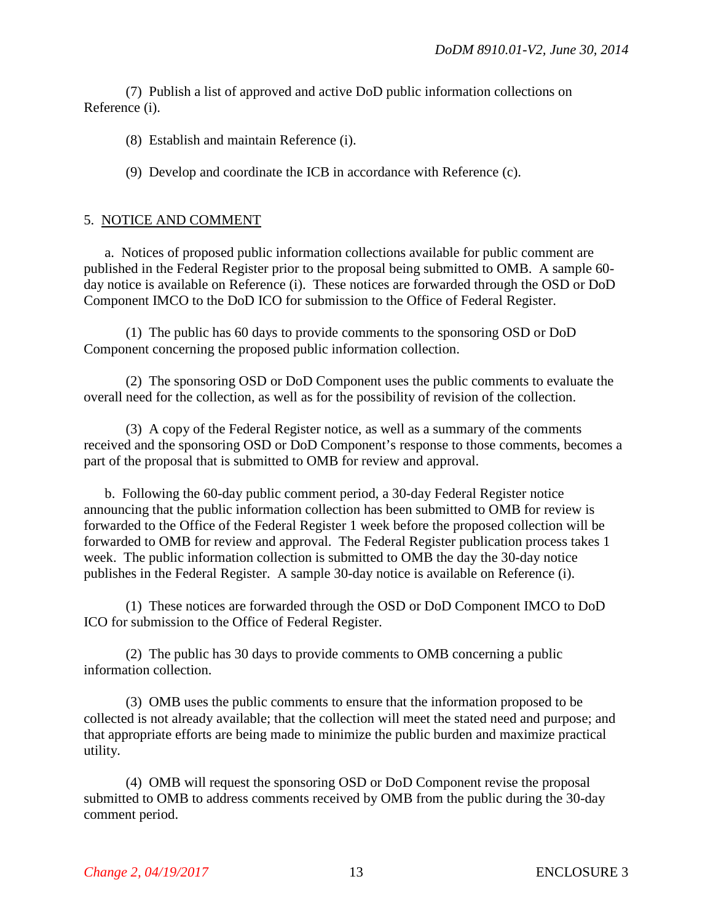(7) Publish a list of approved and active DoD public information collections on Reference (i).

(8) Establish and maintain Reference (i).

(9) Develop and coordinate the ICB in accordance with Reference (c).

#### 5. NOTICE AND COMMENT

a. Notices of proposed public information collections available for public comment are published in the Federal Register prior to the proposal being submitted to OMB. A sample 60 day notice is available on Reference (i). These notices are forwarded through the OSD or DoD Component IMCO to the DoD ICO for submission to the Office of Federal Register.

(1) The public has 60 days to provide comments to the sponsoring OSD or DoD Component concerning the proposed public information collection.

(2) The sponsoring OSD or DoD Component uses the public comments to evaluate the overall need for the collection, as well as for the possibility of revision of the collection.

(3) A copy of the Federal Register notice, as well as a summary of the comments received and the sponsoring OSD or DoD Component's response to those comments, becomes a part of the proposal that is submitted to OMB for review and approval.

b. Following the 60-day public comment period, a 30-day Federal Register notice announcing that the public information collection has been submitted to OMB for review is forwarded to the Office of the Federal Register 1 week before the proposed collection will be forwarded to OMB for review and approval. The Federal Register publication process takes 1 week. The public information collection is submitted to OMB the day the 30-day notice publishes in the Federal Register. A sample 30-day notice is available on Reference (i).

(1) These notices are forwarded through the OSD or DoD Component IMCO to DoD ICO for submission to the Office of Federal Register.

(2) The public has 30 days to provide comments to OMB concerning a public information collection.

(3) OMB uses the public comments to ensure that the information proposed to be collected is not already available; that the collection will meet the stated need and purpose; and that appropriate efforts are being made to minimize the public burden and maximize practical utility.

(4) OMB will request the sponsoring OSD or DoD Component revise the proposal submitted to OMB to address comments received by OMB from the public during the 30-day comment period.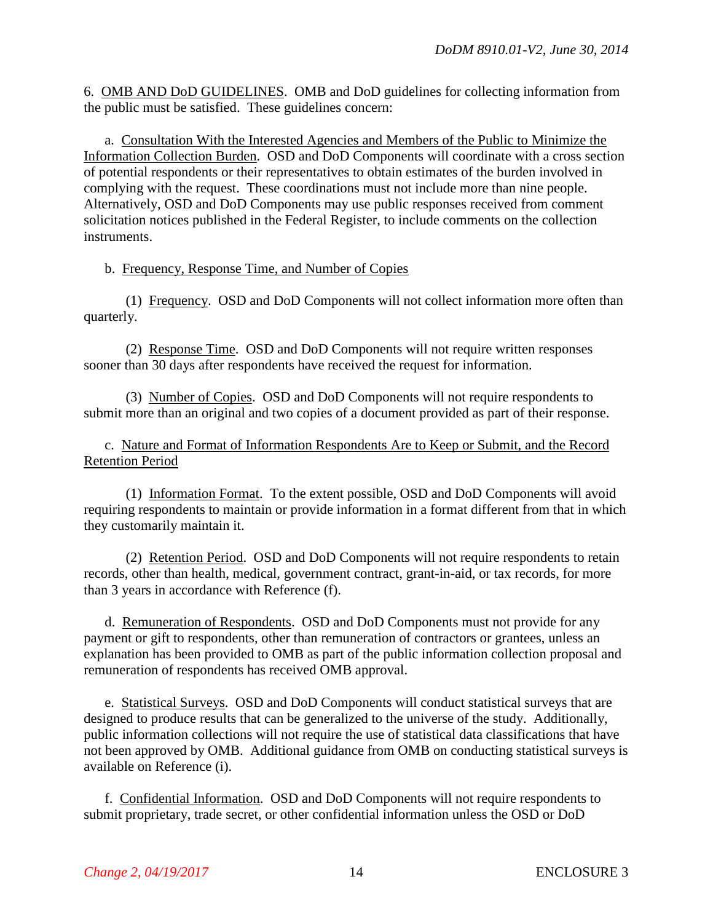6. OMB AND DoD GUIDELINES. OMB and DoD guidelines for collecting information from the public must be satisfied. These guidelines concern:

a. Consultation With the Interested Agencies and Members of the Public to Minimize the Information Collection Burden. OSD and DoD Components will coordinate with a cross section of potential respondents or their representatives to obtain estimates of the burden involved in complying with the request. These coordinations must not include more than nine people. Alternatively, OSD and DoD Components may use public responses received from comment solicitation notices published in the Federal Register, to include comments on the collection instruments.

#### b. Frequency, Response Time, and Number of Copies

(1) Frequency. OSD and DoD Components will not collect information more often than quarterly.

(2) Response Time. OSD and DoD Components will not require written responses sooner than 30 days after respondents have received the request for information.

(3) Number of Copies. OSD and DoD Components will not require respondents to submit more than an original and two copies of a document provided as part of their response.

c. Nature and Format of Information Respondents Are to Keep or Submit, and the Record Retention Period

(1) Information Format. To the extent possible, OSD and DoD Components will avoid requiring respondents to maintain or provide information in a format different from that in which they customarily maintain it.

(2) Retention Period. OSD and DoD Components will not require respondents to retain records, other than health, medical, government contract, grant-in-aid, or tax records, for more than 3 years in accordance with Reference (f).

d. Remuneration of Respondents. OSD and DoD Components must not provide for any payment or gift to respondents, other than remuneration of contractors or grantees, unless an explanation has been provided to OMB as part of the public information collection proposal and remuneration of respondents has received OMB approval.

e. Statistical Surveys. OSD and DoD Components will conduct statistical surveys that are designed to produce results that can be generalized to the universe of the study. Additionally, public information collections will not require the use of statistical data classifications that have not been approved by OMB. Additional guidance from OMB on conducting statistical surveys is available on Reference (i).

f. Confidential Information. OSD and DoD Components will not require respondents to submit proprietary, trade secret, or other confidential information unless the OSD or DoD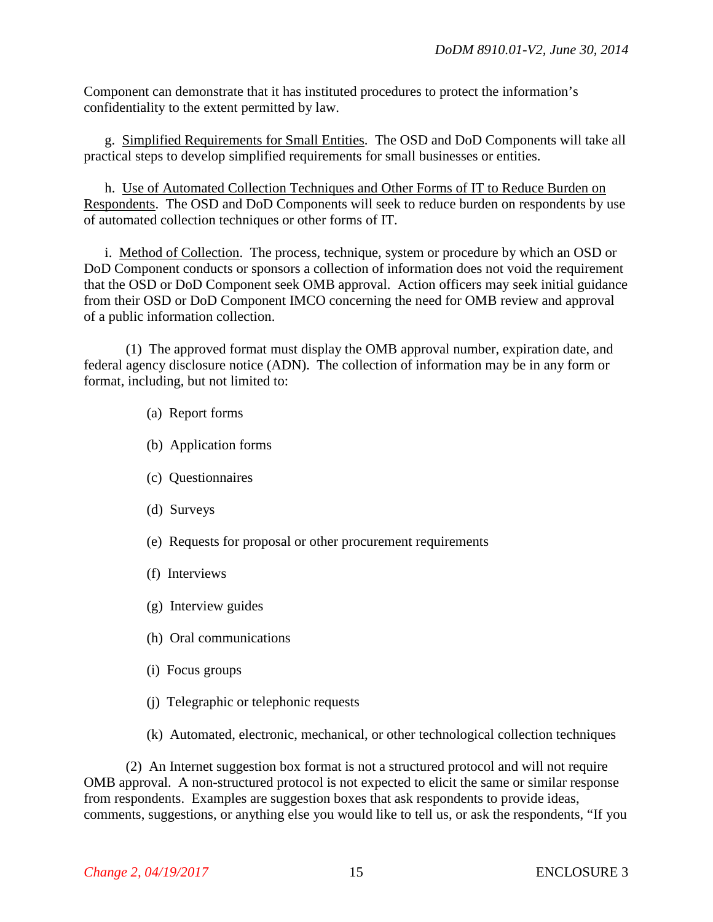Component can demonstrate that it has instituted procedures to protect the information's confidentiality to the extent permitted by law.

g. Simplified Requirements for Small Entities. The OSD and DoD Components will take all practical steps to develop simplified requirements for small businesses or entities.

h. Use of Automated Collection Techniques and Other Forms of IT to Reduce Burden on Respondents. The OSD and DoD Components will seek to reduce burden on respondents by use of automated collection techniques or other forms of IT.

i. Method of Collection. The process, technique, system or procedure by which an OSD or DoD Component conducts or sponsors a collection of information does not void the requirement that the OSD or DoD Component seek OMB approval. Action officers may seek initial guidance from their OSD or DoD Component IMCO concerning the need for OMB review and approval of a public information collection.

(1) The approved format must display the OMB approval number, expiration date, and federal agency disclosure notice (ADN). The collection of information may be in any form or format, including, but not limited to:

- (a) Report forms
- (b) Application forms
- (c) Questionnaires
- (d) Surveys
- (e) Requests for proposal or other procurement requirements
- (f) Interviews
- (g) Interview guides
- (h) Oral communications
- (i) Focus groups
- (j) Telegraphic or telephonic requests
- (k) Automated, electronic, mechanical, or other technological collection techniques

(2) An Internet suggestion box format is not a structured protocol and will not require OMB approval. A non-structured protocol is not expected to elicit the same or similar response from respondents. Examples are suggestion boxes that ask respondents to provide ideas, comments, suggestions, or anything else you would like to tell us, or ask the respondents, "If you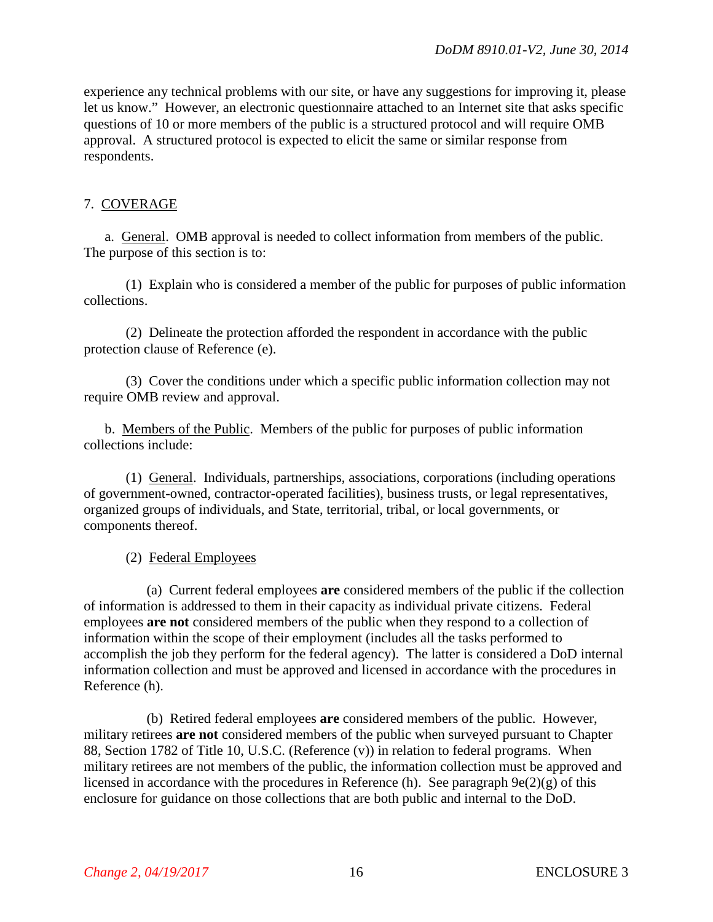experience any technical problems with our site, or have any suggestions for improving it, please let us know." However, an electronic questionnaire attached to an Internet site that asks specific questions of 10 or more members of the public is a structured protocol and will require OMB approval. A structured protocol is expected to elicit the same or similar response from respondents.

## 7. COVERAGE

a. General. OMB approval is needed to collect information from members of the public. The purpose of this section is to:

(1) Explain who is considered a member of the public for purposes of public information collections.

(2) Delineate the protection afforded the respondent in accordance with the public protection clause of Reference (e).

(3) Cover the conditions under which a specific public information collection may not require OMB review and approval.

b. Members of the Public. Members of the public for purposes of public information collections include:

(1) General. Individuals, partnerships, associations, corporations (including operations of government-owned, contractor-operated facilities), business trusts, or legal representatives, organized groups of individuals, and State, territorial, tribal, or local governments, or components thereof.

## (2) Federal Employees

(a) Current federal employees **are** considered members of the public if the collection of information is addressed to them in their capacity as individual private citizens. Federal employees **are not** considered members of the public when they respond to a collection of information within the scope of their employment (includes all the tasks performed to accomplish the job they perform for the federal agency). The latter is considered a DoD internal information collection and must be approved and licensed in accordance with the procedures in Reference (h).

(b) Retired federal employees **are** considered members of the public. However, military retirees **are not** considered members of the public when surveyed pursuant to Chapter 88, Section 1782 of Title 10, U.S.C. (Reference (v)) in relation to federal programs. When military retirees are not members of the public, the information collection must be approved and licensed in accordance with the procedures in Reference (h). See paragraph 9e(2)(g) of this enclosure for guidance on those collections that are both public and internal to the DoD.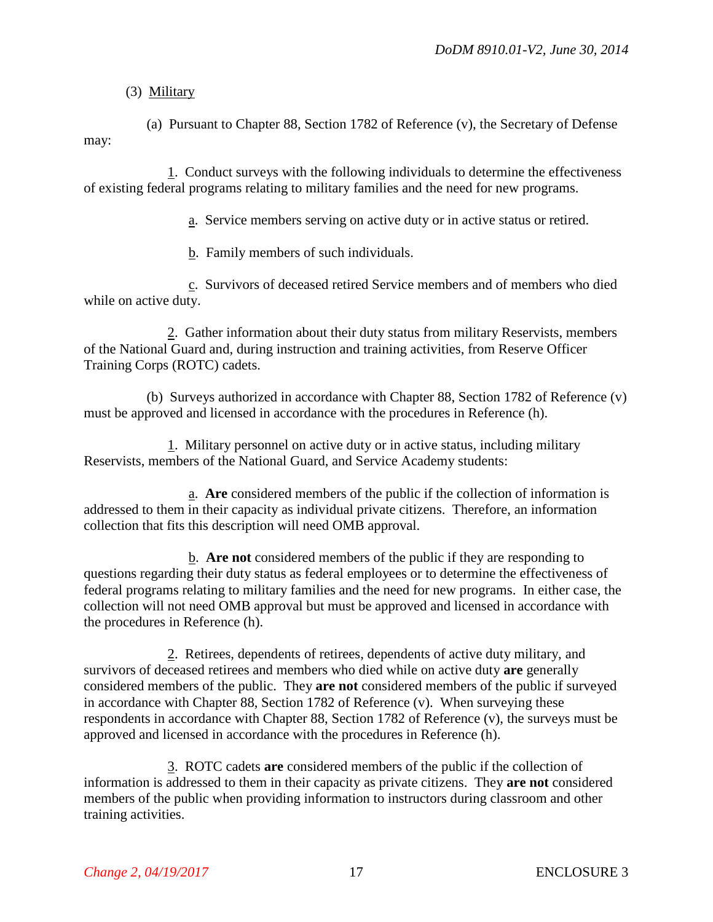## (3) Military

(a) Pursuant to Chapter 88, Section 1782 of Reference (v), the Secretary of Defense may:

1. Conduct surveys with the following individuals to determine the effectiveness of existing federal programs relating to military families and the need for new programs.

a. Service members serving on active duty or in active status or retired.

b. Family members of such individuals.

c. Survivors of deceased retired Service members and of members who died while on active duty.

2. Gather information about their duty status from military Reservists, members of the National Guard and, during instruction and training activities, from Reserve Officer Training Corps (ROTC) cadets.

(b) Surveys authorized in accordance with Chapter 88, Section 1782 of Reference (v) must be approved and licensed in accordance with the procedures in Reference (h).

1. Military personnel on active duty or in active status, including military Reservists, members of the National Guard, and Service Academy students:

a. **Are** considered members of the public if the collection of information is addressed to them in their capacity as individual private citizens. Therefore, an information collection that fits this description will need OMB approval.

b. **Are not** considered members of the public if they are responding to questions regarding their duty status as federal employees or to determine the effectiveness of federal programs relating to military families and the need for new programs. In either case, the collection will not need OMB approval but must be approved and licensed in accordance with the procedures in Reference (h).

2. Retirees, dependents of retirees, dependents of active duty military, and survivors of deceased retirees and members who died while on active duty **are** generally considered members of the public. They **are not** considered members of the public if surveyed in accordance with Chapter 88, Section 1782 of Reference (v). When surveying these respondents in accordance with Chapter 88, Section 1782 of Reference (v), the surveys must be approved and licensed in accordance with the procedures in Reference (h).

3. ROTC cadets **are** considered members of the public if the collection of information is addressed to them in their capacity as private citizens. They **are not** considered members of the public when providing information to instructors during classroom and other training activities.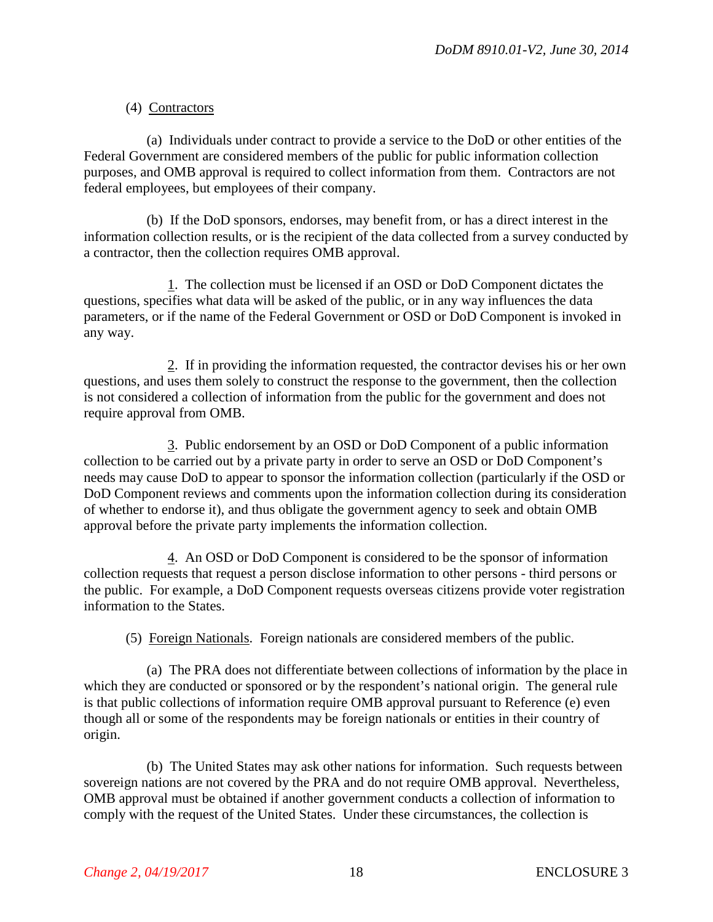## (4) Contractors

(a) Individuals under contract to provide a service to the DoD or other entities of the Federal Government are considered members of the public for public information collection purposes, and OMB approval is required to collect information from them. Contractors are not federal employees, but employees of their company.

(b) If the DoD sponsors, endorses, may benefit from, or has a direct interest in the information collection results, or is the recipient of the data collected from a survey conducted by a contractor, then the collection requires OMB approval.

1. The collection must be licensed if an OSD or DoD Component dictates the questions, specifies what data will be asked of the public, or in any way influences the data parameters, or if the name of the Federal Government or OSD or DoD Component is invoked in any way.

2. If in providing the information requested, the contractor devises his or her own questions, and uses them solely to construct the response to the government, then the collection is not considered a collection of information from the public for the government and does not require approval from OMB.

3. Public endorsement by an OSD or DoD Component of a public information collection to be carried out by a private party in order to serve an OSD or DoD Component's needs may cause DoD to appear to sponsor the information collection (particularly if the OSD or DoD Component reviews and comments upon the information collection during its consideration of whether to endorse it), and thus obligate the government agency to seek and obtain OMB approval before the private party implements the information collection.

4. An OSD or DoD Component is considered to be the sponsor of information collection requests that request a person disclose information to other persons - third persons or the public. For example, a DoD Component requests overseas citizens provide voter registration information to the States.

(5) Foreign Nationals. Foreign nationals are considered members of the public.

(a) The PRA does not differentiate between collections of information by the place in which they are conducted or sponsored or by the respondent's national origin. The general rule is that public collections of information require OMB approval pursuant to Reference (e) even though all or some of the respondents may be foreign nationals or entities in their country of origin.

(b) The United States may ask other nations for information. Such requests between sovereign nations are not covered by the PRA and do not require OMB approval. Nevertheless, OMB approval must be obtained if another government conducts a collection of information to comply with the request of the United States. Under these circumstances, the collection is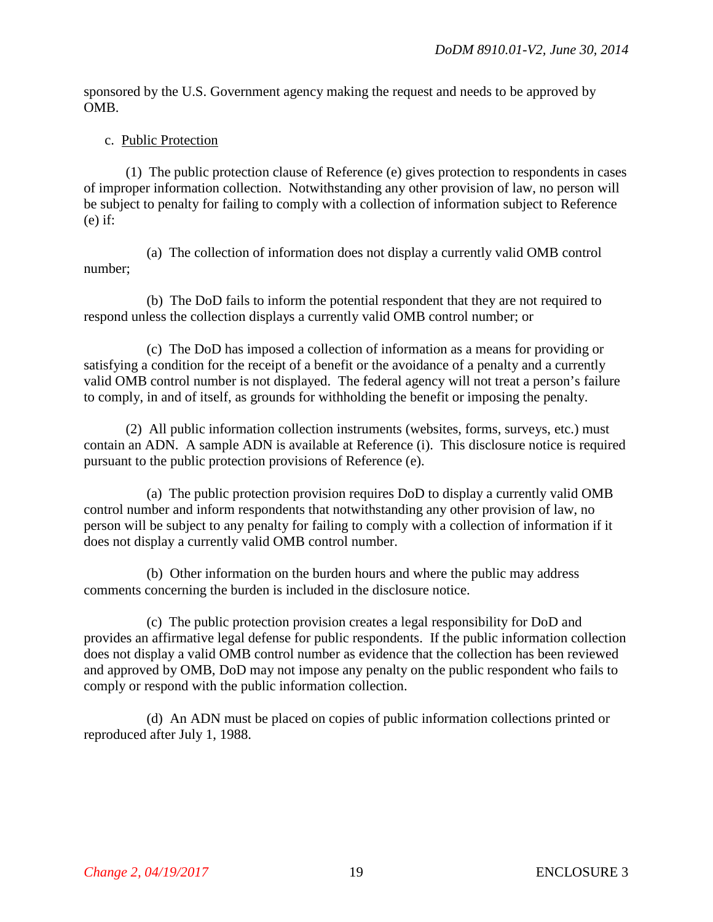sponsored by the U.S. Government agency making the request and needs to be approved by OMB.

#### c. Public Protection

(1) The public protection clause of Reference (e) gives protection to respondents in cases of improper information collection. Notwithstanding any other provision of law, no person will be subject to penalty for failing to comply with a collection of information subject to Reference  $(e)$  if:

(a) The collection of information does not display a currently valid OMB control number;

(b) The DoD fails to inform the potential respondent that they are not required to respond unless the collection displays a currently valid OMB control number; or

(c) The DoD has imposed a collection of information as a means for providing or satisfying a condition for the receipt of a benefit or the avoidance of a penalty and a currently valid OMB control number is not displayed. The federal agency will not treat a person's failure to comply, in and of itself, as grounds for withholding the benefit or imposing the penalty.

(2) All public information collection instruments (websites, forms, surveys, etc.) must contain an ADN. A sample ADN is available at Reference (i). This disclosure notice is required pursuant to the public protection provisions of Reference (e).

(a) The public protection provision requires DoD to display a currently valid OMB control number and inform respondents that notwithstanding any other provision of law, no person will be subject to any penalty for failing to comply with a collection of information if it does not display a currently valid OMB control number.

(b) Other information on the burden hours and where the public may address comments concerning the burden is included in the disclosure notice.

(c) The public protection provision creates a legal responsibility for DoD and provides an affirmative legal defense for public respondents. If the public information collection does not display a valid OMB control number as evidence that the collection has been reviewed and approved by OMB, DoD may not impose any penalty on the public respondent who fails to comply or respond with the public information collection.

(d) An ADN must be placed on copies of public information collections printed or reproduced after July 1, 1988.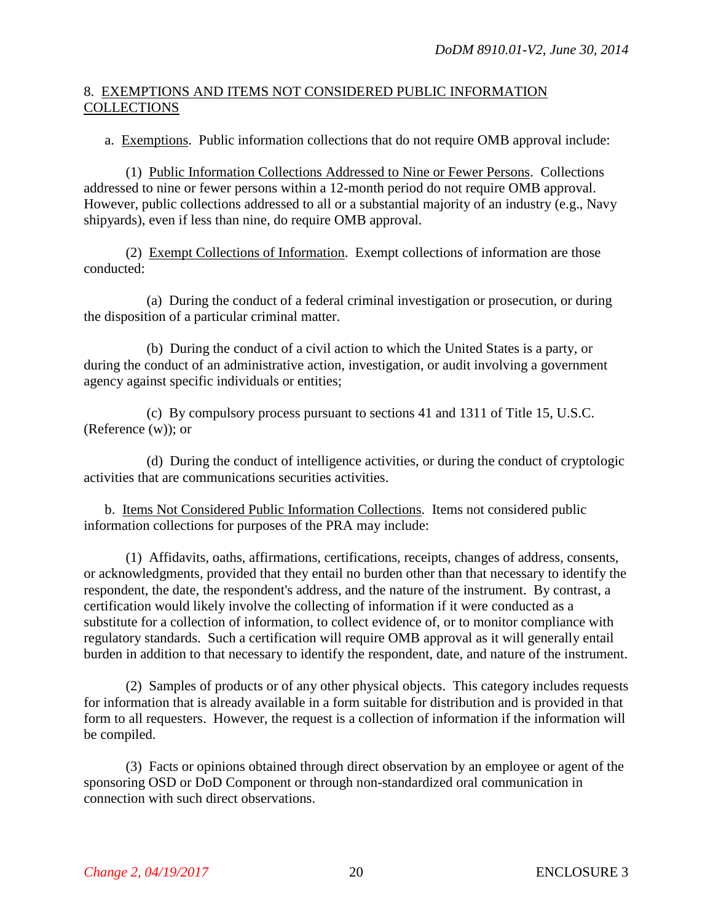## 8. EXEMPTIONS AND ITEMS NOT CONSIDERED PUBLIC INFORMATION **COLLECTIONS**

a. Exemptions. Public information collections that do not require OMB approval include:

(1) Public Information Collections Addressed to Nine or Fewer Persons. Collections addressed to nine or fewer persons within a 12-month period do not require OMB approval. However, public collections addressed to all or a substantial majority of an industry (e.g., Navy shipyards), even if less than nine, do require OMB approval.

(2) Exempt Collections of Information. Exempt collections of information are those conducted:

(a) During the conduct of a federal criminal investigation or prosecution, or during the disposition of a particular criminal matter.

(b) During the conduct of a civil action to which the United States is a party, or during the conduct of an administrative action, investigation, or audit involving a government agency against specific individuals or entities;

(c) By compulsory process pursuant to sections 41 and 1311 of Title 15, U.S.C. (Reference (w)); or

(d) During the conduct of intelligence activities, or during the conduct of cryptologic activities that are communications securities activities.

b. Items Not Considered Public Information Collections. Items not considered public information collections for purposes of the PRA may include:

(1) Affidavits, oaths, affirmations, certifications, receipts, changes of address, consents, or acknowledgments, provided that they entail no burden other than that necessary to identify the respondent, the date, the respondent's address, and the nature of the instrument. By contrast, a certification would likely involve the collecting of information if it were conducted as a substitute for a collection of information, to collect evidence of, or to monitor compliance with regulatory standards. Such a certification will require OMB approval as it will generally entail burden in addition to that necessary to identify the respondent, date, and nature of the instrument.

(2) Samples of products or of any other physical objects. This category includes requests for information that is already available in a form suitable for distribution and is provided in that form to all requesters. However, the request is a collection of information if the information will be compiled.

(3) Facts or opinions obtained through direct observation by an employee or agent of the sponsoring OSD or DoD Component or through non-standardized oral communication in connection with such direct observations.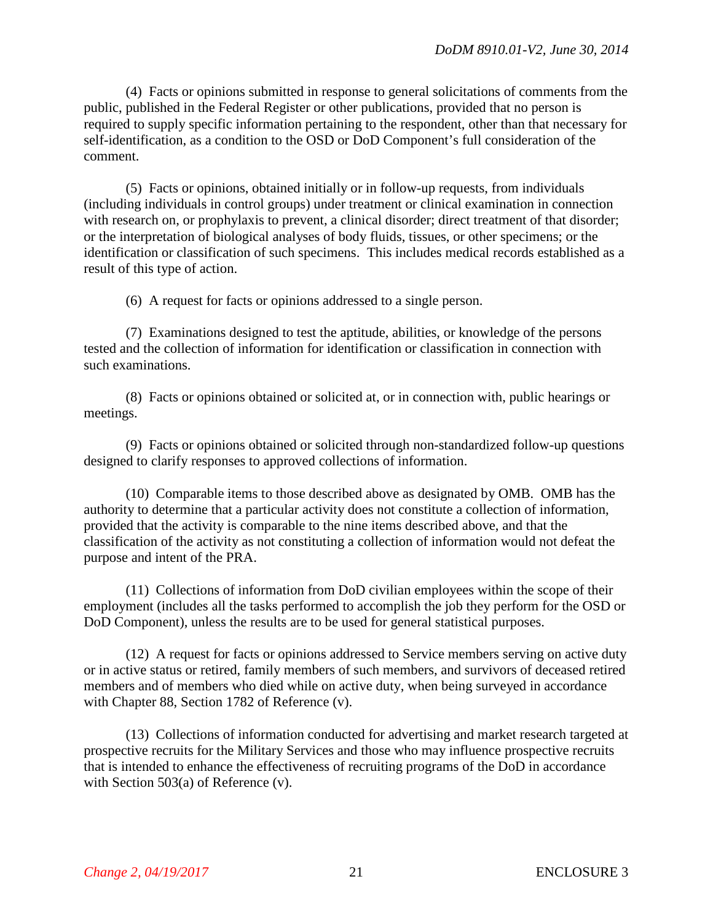(4) Facts or opinions submitted in response to general solicitations of comments from the public, published in the Federal Register or other publications, provided that no person is required to supply specific information pertaining to the respondent, other than that necessary for self-identification, as a condition to the OSD or DoD Component's full consideration of the comment.

(5) Facts or opinions, obtained initially or in follow-up requests, from individuals (including individuals in control groups) under treatment or clinical examination in connection with research on, or prophylaxis to prevent, a clinical disorder; direct treatment of that disorder; or the interpretation of biological analyses of body fluids, tissues, or other specimens; or the identification or classification of such specimens. This includes medical records established as a result of this type of action.

(6) A request for facts or opinions addressed to a single person.

(7) Examinations designed to test the aptitude, abilities, or knowledge of the persons tested and the collection of information for identification or classification in connection with such examinations.

(8) Facts or opinions obtained or solicited at, or in connection with, public hearings or meetings.

(9) Facts or opinions obtained or solicited through non-standardized follow-up questions designed to clarify responses to approved collections of information.

(10) Comparable items to those described above as designated by OMB. OMB has the authority to determine that a particular activity does not constitute a collection of information, provided that the activity is comparable to the nine items described above, and that the classification of the activity as not constituting a collection of information would not defeat the purpose and intent of the PRA.

(11) Collections of information from DoD civilian employees within the scope of their employment (includes all the tasks performed to accomplish the job they perform for the OSD or DoD Component), unless the results are to be used for general statistical purposes.

(12) A request for facts or opinions addressed to Service members serving on active duty or in active status or retired, family members of such members, and survivors of deceased retired members and of members who died while on active duty, when being surveyed in accordance with Chapter 88, Section 1782 of Reference (v).

(13) Collections of information conducted for advertising and market research targeted at prospective recruits for the Military Services and those who may influence prospective recruits that is intended to enhance the effectiveness of recruiting programs of the DoD in accordance with Section 503(a) of Reference (v).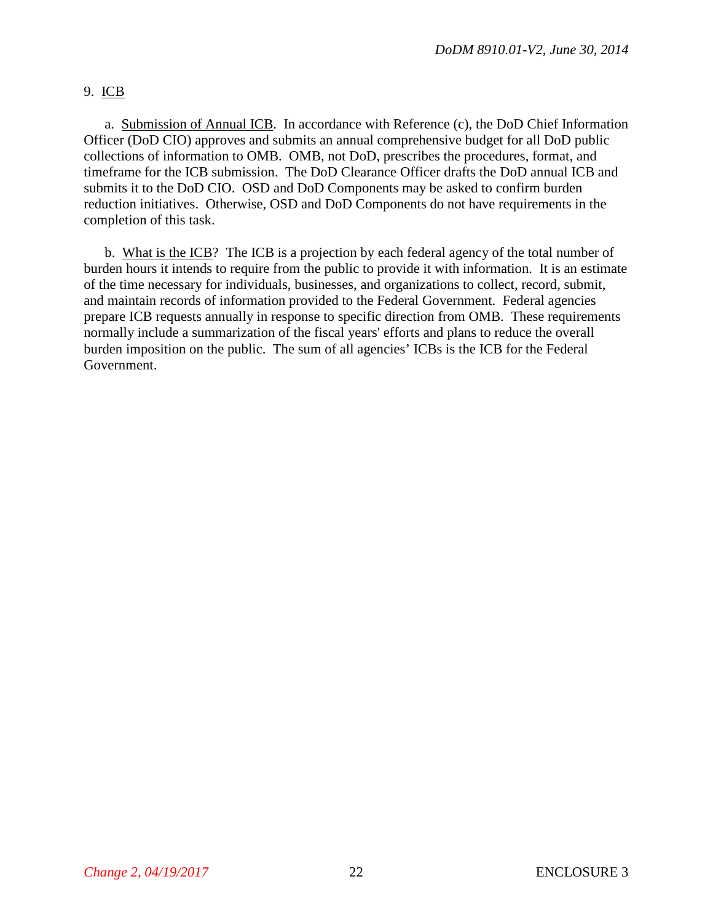## 9. ICB

a. Submission of Annual ICB. In accordance with Reference (c), the DoD Chief Information Officer (DoD CIO) approves and submits an annual comprehensive budget for all DoD public collections of information to OMB. OMB, not DoD, prescribes the procedures, format, and timeframe for the ICB submission. The DoD Clearance Officer drafts the DoD annual ICB and submits it to the DoD CIO. OSD and DoD Components may be asked to confirm burden reduction initiatives. Otherwise, OSD and DoD Components do not have requirements in the completion of this task.

b. What is the ICB? The ICB is a projection by each federal agency of the total number of burden hours it intends to require from the public to provide it with information. It is an estimate of the time necessary for individuals, businesses, and organizations to collect, record, submit, and maintain records of information provided to the Federal Government. Federal agencies prepare ICB requests annually in response to specific direction from OMB. These requirements normally include a summarization of the fiscal years' efforts and plans to reduce the overall burden imposition on the public. The sum of all agencies' ICBs is the ICB for the Federal Government.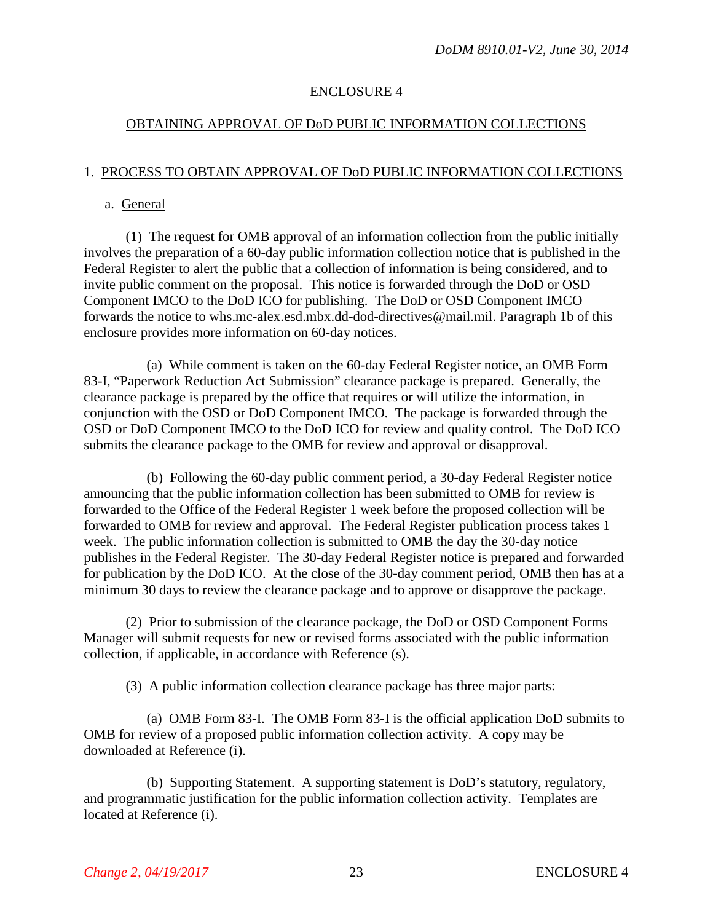## ENCLOSURE 4

## OBTAINING APPROVAL OF DoD PUBLIC INFORMATION COLLECTIONS

## 1. PROCESS TO OBTAIN APPROVAL OF DoD PUBLIC INFORMATION COLLECTIONS

#### a. General

(1) The request for OMB approval of an information collection from the public initially involves the preparation of a 60-day public information collection notice that is published in the Federal Register to alert the public that a collection of information is being considered, and to invite public comment on the proposal. This notice is forwarded through the DoD or OSD Component IMCO to the DoD ICO for publishing. The DoD or OSD Component IMCO forwards the notice to whs.mc-alex.esd.mbx.dd-dod-directives@mail.mil. Paragraph 1b of this enclosure provides more information on 60-day notices.

(a) While comment is taken on the 60-day Federal Register notice, an OMB Form 83-I, "Paperwork Reduction Act Submission" clearance package is prepared. Generally, the clearance package is prepared by the office that requires or will utilize the information, in conjunction with the OSD or DoD Component IMCO. The package is forwarded through the OSD or DoD Component IMCO to the DoD ICO for review and quality control. The DoD ICO submits the clearance package to the OMB for review and approval or disapproval.

(b) Following the 60-day public comment period, a 30-day Federal Register notice announcing that the public information collection has been submitted to OMB for review is forwarded to the Office of the Federal Register 1 week before the proposed collection will be forwarded to OMB for review and approval. The Federal Register publication process takes 1 week. The public information collection is submitted to OMB the day the 30-day notice publishes in the Federal Register. The 30-day Federal Register notice is prepared and forwarded for publication by the DoD ICO. At the close of the 30-day comment period, OMB then has at a minimum 30 days to review the clearance package and to approve or disapprove the package.

(2) Prior to submission of the clearance package, the DoD or OSD Component Forms Manager will submit requests for new or revised forms associated with the public information collection, if applicable, in accordance with Reference (s).

(3) A public information collection clearance package has three major parts:

(a) OMB Form 83-I. The OMB Form 83-I is the official application DoD submits to OMB for review of a proposed public information collection activity. A copy may be downloaded at Reference (i).

(b) Supporting Statement. A supporting statement is DoD's statutory, regulatory, and programmatic justification for the public information collection activity. Templates are located at Reference (i).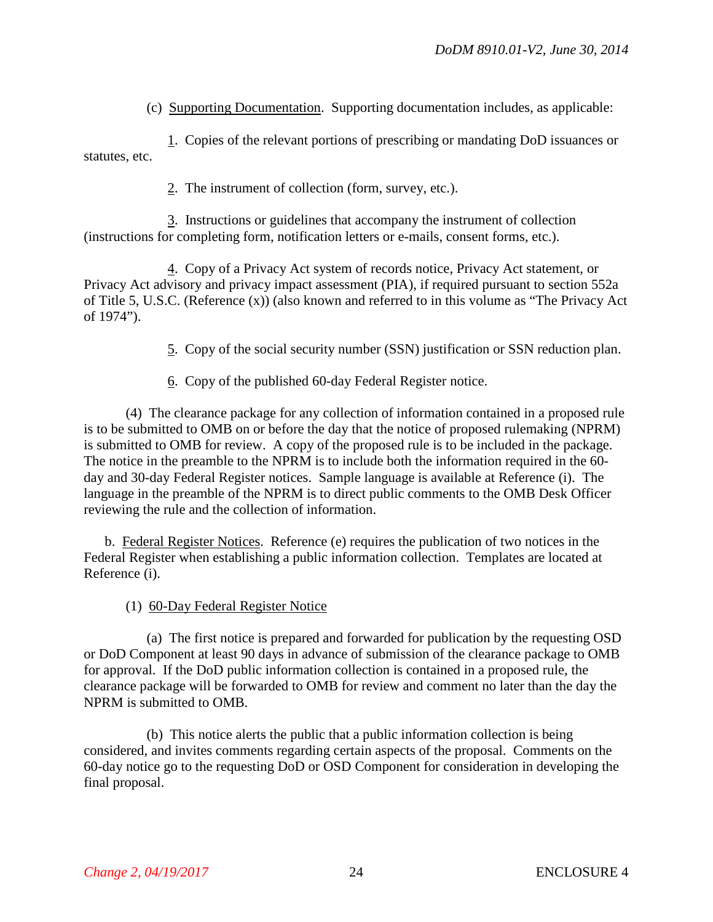(c) Supporting Documentation. Supporting documentation includes, as applicable:

1. Copies of the relevant portions of prescribing or mandating DoD issuances or statutes, etc.

2. The instrument of collection (form, survey, etc.).

3. Instructions or guidelines that accompany the instrument of collection (instructions for completing form, notification letters or e-mails, consent forms, etc.).

4. Copy of a Privacy Act system of records notice, Privacy Act statement, or Privacy Act advisory and privacy impact assessment (PIA), if required pursuant to section 552a of Title 5, U.S.C. (Reference (x)) (also known and referred to in this volume as "The Privacy Act of 1974").

5. Copy of the social security number (SSN) justification or SSN reduction plan.

6. Copy of the published 60-day Federal Register notice.

(4) The clearance package for any collection of information contained in a proposed rule is to be submitted to OMB on or before the day that the notice of proposed rulemaking (NPRM) is submitted to OMB for review. A copy of the proposed rule is to be included in the package. The notice in the preamble to the NPRM is to include both the information required in the 60 day and 30-day Federal Register notices. Sample language is available at Reference (i). The language in the preamble of the NPRM is to direct public comments to the OMB Desk Officer reviewing the rule and the collection of information.

b. Federal Register Notices. Reference (e) requires the publication of two notices in the Federal Register when establishing a public information collection. Templates are located at Reference (i).

(1) 60-Day Federal Register Notice

(a) The first notice is prepared and forwarded for publication by the requesting OSD or DoD Component at least 90 days in advance of submission of the clearance package to OMB for approval. If the DoD public information collection is contained in a proposed rule, the clearance package will be forwarded to OMB for review and comment no later than the day the NPRM is submitted to OMB.

(b) This notice alerts the public that a public information collection is being considered, and invites comments regarding certain aspects of the proposal. Comments on the 60-day notice go to the requesting DoD or OSD Component for consideration in developing the final proposal.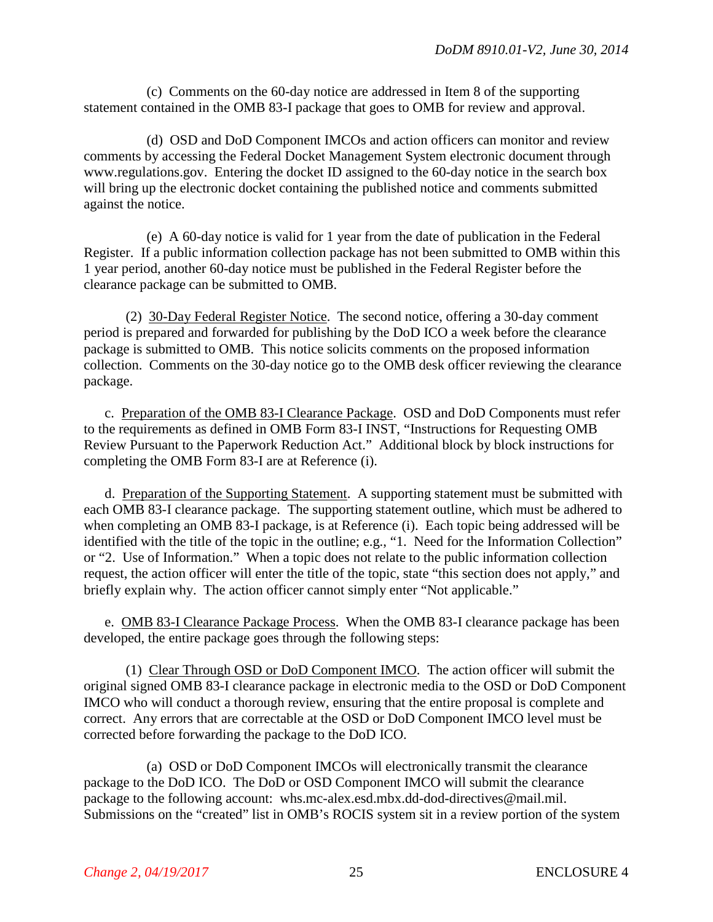(c) Comments on the 60-day notice are addressed in Item 8 of the supporting statement contained in the OMB 83-I package that goes to OMB for review and approval.

(d) OSD and DoD Component IMCOs and action officers can monitor and review comments by accessing the Federal Docket Management System electronic document through www.regulations.gov. Entering the docket ID assigned to the 60-day notice in the search box will bring up the electronic docket containing the published notice and comments submitted against the notice.

(e) A 60-day notice is valid for 1 year from the date of publication in the Federal Register. If a public information collection package has not been submitted to OMB within this 1 year period, another 60-day notice must be published in the Federal Register before the clearance package can be submitted to OMB.

(2) 30-Day Federal Register Notice. The second notice, offering a 30-day comment period is prepared and forwarded for publishing by the DoD ICO a week before the clearance package is submitted to OMB. This notice solicits comments on the proposed information collection. Comments on the 30-day notice go to the OMB desk officer reviewing the clearance package.

c. Preparation of the OMB 83-I Clearance Package. OSD and DoD Components must refer to the requirements as defined in OMB Form 83-I INST, "Instructions for Requesting OMB Review Pursuant to the Paperwork Reduction Act." Additional block by block instructions for completing the OMB Form 83-I are at Reference (i).

d. Preparation of the Supporting Statement. A supporting statement must be submitted with each OMB 83-I clearance package. The supporting statement outline, which must be adhered to when completing an OMB 83-I package, is at Reference (i). Each topic being addressed will be identified with the title of the topic in the outline; e.g., "1. Need for the Information Collection" or "2. Use of Information." When a topic does not relate to the public information collection request, the action officer will enter the title of the topic, state "this section does not apply," and briefly explain why. The action officer cannot simply enter "Not applicable."

e. OMB 83-I Clearance Package Process. When the OMB 83-I clearance package has been developed, the entire package goes through the following steps:

(1) Clear Through OSD or DoD Component IMCO. The action officer will submit the original signed OMB 83-I clearance package in electronic media to the OSD or DoD Component IMCO who will conduct a thorough review, ensuring that the entire proposal is complete and correct. Any errors that are correctable at the OSD or DoD Component IMCO level must be corrected before forwarding the package to the DoD ICO.

(a) OSD or DoD Component IMCOs will electronically transmit the clearance package to the DoD ICO. The DoD or OSD Component IMCO will submit the clearance package to the following account: whs.mc-alex.esd.mbx.dd-dod-directives@mail.mil. Submissions on the "created" list in OMB's ROCIS system sit in a review portion of the system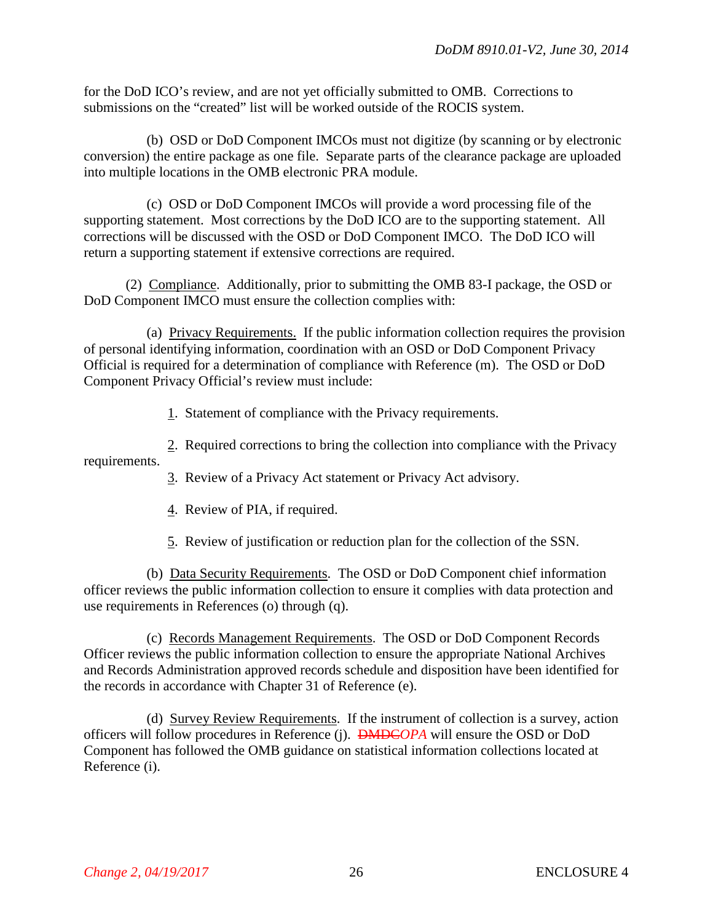for the DoD ICO's review, and are not yet officially submitted to OMB. Corrections to submissions on the "created" list will be worked outside of the ROCIS system.

(b) OSD or DoD Component IMCOs must not digitize (by scanning or by electronic conversion) the entire package as one file. Separate parts of the clearance package are uploaded into multiple locations in the OMB electronic PRA module.

(c) OSD or DoD Component IMCOs will provide a word processing file of the supporting statement. Most corrections by the DoD ICO are to the supporting statement. All corrections will be discussed with the OSD or DoD Component IMCO. The DoD ICO will return a supporting statement if extensive corrections are required.

(2) Compliance. Additionally, prior to submitting the OMB 83-I package, the OSD or DoD Component IMCO must ensure the collection complies with:

(a) Privacy Requirements. If the public information collection requires the provision of personal identifying information, coordination with an OSD or DoD Component Privacy Official is required for a determination of compliance with Reference (m). The OSD or DoD Component Privacy Official's review must include:

1. Statement of compliance with the Privacy requirements.

2. Required corrections to bring the collection into compliance with the Privacy requirements.

3. Review of a Privacy Act statement or Privacy Act advisory.

4. Review of PIA, if required.

5. Review of justification or reduction plan for the collection of the SSN.

(b) Data Security Requirements. The OSD or DoD Component chief information officer reviews the public information collection to ensure it complies with data protection and use requirements in References (o) through (q).

(c) Records Management Requirements. The OSD or DoD Component Records Officer reviews the public information collection to ensure the appropriate National Archives and Records Administration approved records schedule and disposition have been identified for the records in accordance with Chapter 31 of Reference (e).

(d) Survey Review Requirements. If the instrument of collection is a survey, action officers will follow procedures in Reference (j). DMDC*OPA* will ensure the OSD or DoD Component has followed the OMB guidance on statistical information collections located at Reference (i).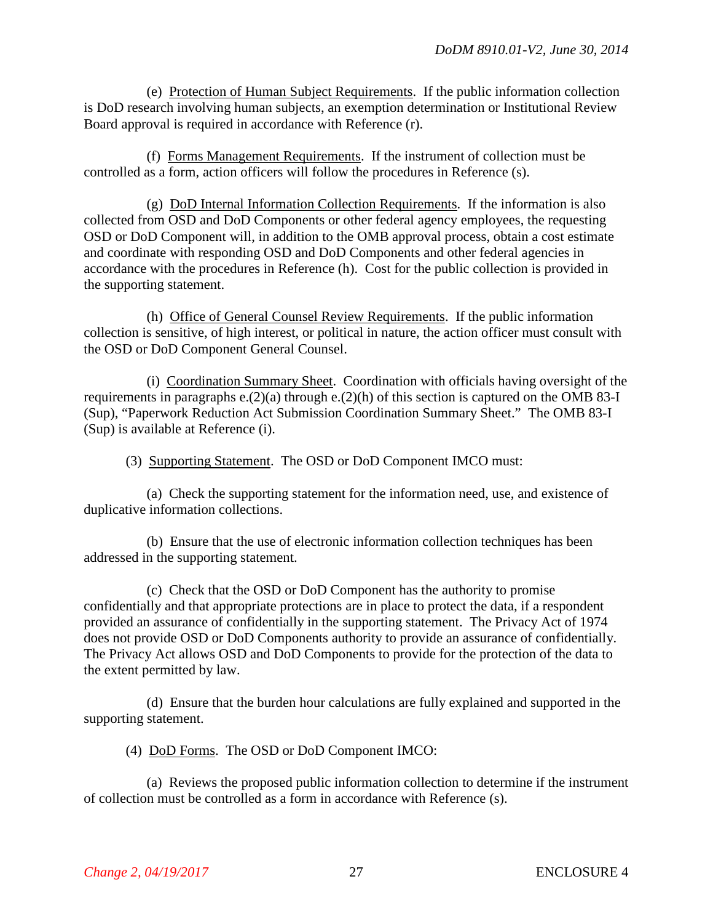(e) Protection of Human Subject Requirements. If the public information collection is DoD research involving human subjects, an exemption determination or Institutional Review Board approval is required in accordance with Reference (r).

(f) Forms Management Requirements. If the instrument of collection must be controlled as a form, action officers will follow the procedures in Reference (s).

(g) DoD Internal Information Collection Requirements. If the information is also collected from OSD and DoD Components or other federal agency employees, the requesting OSD or DoD Component will, in addition to the OMB approval process, obtain a cost estimate and coordinate with responding OSD and DoD Components and other federal agencies in accordance with the procedures in Reference (h). Cost for the public collection is provided in the supporting statement.

(h) Office of General Counsel Review Requirements. If the public information collection is sensitive, of high interest, or political in nature, the action officer must consult with the OSD or DoD Component General Counsel.

(i) Coordination Summary Sheet. Coordination with officials having oversight of the requirements in paragraphs e.(2)(a) through e.(2)(h) of this section is captured on the OMB 83-I (Sup), "Paperwork Reduction Act Submission Coordination Summary Sheet." The OMB 83-I (Sup) is available at Reference (i).

(3) Supporting Statement. The OSD or DoD Component IMCO must:

(a) Check the supporting statement for the information need, use, and existence of duplicative information collections.

(b) Ensure that the use of electronic information collection techniques has been addressed in the supporting statement.

(c) Check that the OSD or DoD Component has the authority to promise confidentially and that appropriate protections are in place to protect the data, if a respondent provided an assurance of confidentially in the supporting statement. The Privacy Act of 1974 does not provide OSD or DoD Components authority to provide an assurance of confidentially. The Privacy Act allows OSD and DoD Components to provide for the protection of the data to the extent permitted by law.

(d) Ensure that the burden hour calculations are fully explained and supported in the supporting statement.

(4) DoD Forms. The OSD or DoD Component IMCO:

(a) Reviews the proposed public information collection to determine if the instrument of collection must be controlled as a form in accordance with Reference (s).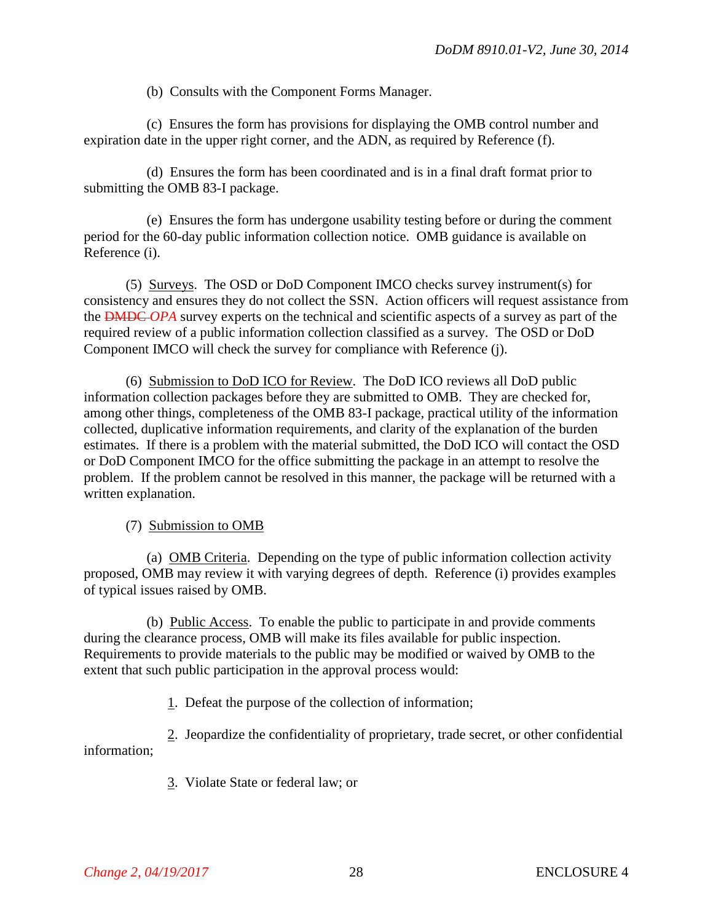(b) Consults with the Component Forms Manager.

(c) Ensures the form has provisions for displaying the OMB control number and expiration date in the upper right corner, and the ADN, as required by Reference (f).

(d) Ensures the form has been coordinated and is in a final draft format prior to submitting the OMB 83-I package.

(e) Ensures the form has undergone usability testing before or during the comment period for the 60-day public information collection notice. OMB guidance is available on Reference (i).

(5) Surveys. The OSD or DoD Component IMCO checks survey instrument(s) for consistency and ensures they do not collect the SSN. Action officers will request assistance from the DMDC *OPA* survey experts on the technical and scientific aspects of a survey as part of the required review of a public information collection classified as a survey. The OSD or DoD Component IMCO will check the survey for compliance with Reference (j).

(6) Submission to DoD ICO for Review. The DoD ICO reviews all DoD public information collection packages before they are submitted to OMB. They are checked for, among other things, completeness of the OMB 83-I package, practical utility of the information collected, duplicative information requirements, and clarity of the explanation of the burden estimates. If there is a problem with the material submitted, the DoD ICO will contact the OSD or DoD Component IMCO for the office submitting the package in an attempt to resolve the problem. If the problem cannot be resolved in this manner, the package will be returned with a written explanation.

(7) Submission to OMB

(a) OMB Criteria. Depending on the type of public information collection activity proposed, OMB may review it with varying degrees of depth. Reference (i) provides examples of typical issues raised by OMB.

(b) Public Access. To enable the public to participate in and provide comments during the clearance process, OMB will make its files available for public inspection. Requirements to provide materials to the public may be modified or waived by OMB to the extent that such public participation in the approval process would:

1. Defeat the purpose of the collection of information;

2. Jeopardize the confidentiality of proprietary, trade secret, or other confidential information;

3. Violate State or federal law; or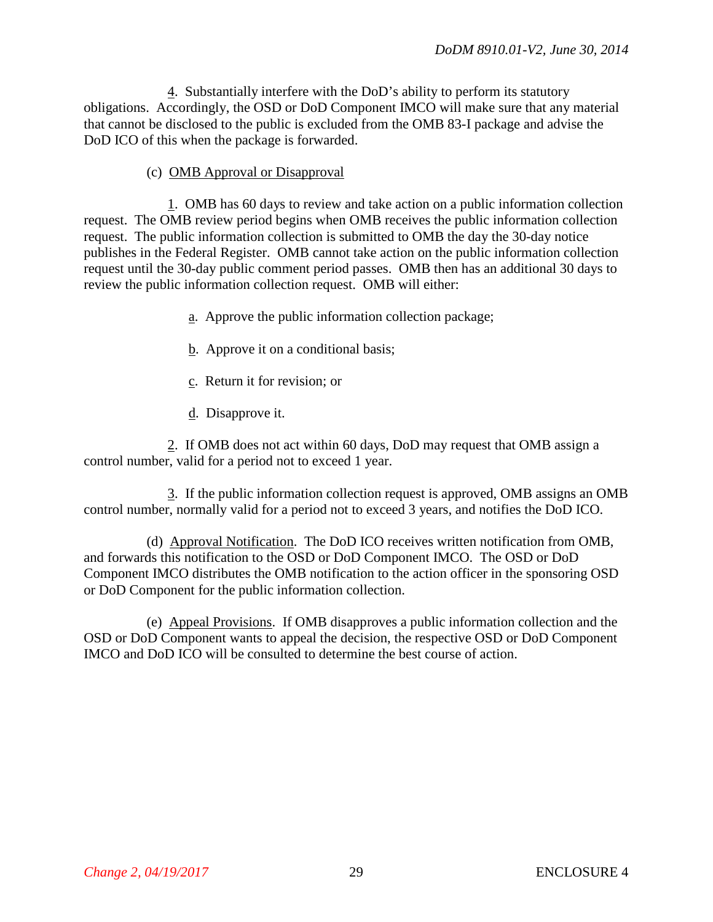4. Substantially interfere with the DoD's ability to perform its statutory obligations. Accordingly, the OSD or DoD Component IMCO will make sure that any material that cannot be disclosed to the public is excluded from the OMB 83-I package and advise the DoD ICO of this when the package is forwarded.

## (c) OMB Approval or Disapproval

1. OMB has 60 days to review and take action on a public information collection request. The OMB review period begins when OMB receives the public information collection request. The public information collection is submitted to OMB the day the 30-day notice publishes in the Federal Register. OMB cannot take action on the public information collection request until the 30-day public comment period passes. OMB then has an additional 30 days to review the public information collection request. OMB will either:

- a. Approve the public information collection package;
- b. Approve it on a conditional basis;
- c. Return it for revision; or
- d. Disapprove it.

2. If OMB does not act within 60 days, DoD may request that OMB assign a control number, valid for a period not to exceed 1 year.

3. If the public information collection request is approved, OMB assigns an OMB control number, normally valid for a period not to exceed 3 years, and notifies the DoD ICO.

(d) Approval Notification. The DoD ICO receives written notification from OMB, and forwards this notification to the OSD or DoD Component IMCO. The OSD or DoD Component IMCO distributes the OMB notification to the action officer in the sponsoring OSD or DoD Component for the public information collection.

(e) Appeal Provisions. If OMB disapproves a public information collection and the OSD or DoD Component wants to appeal the decision, the respective OSD or DoD Component IMCO and DoD ICO will be consulted to determine the best course of action.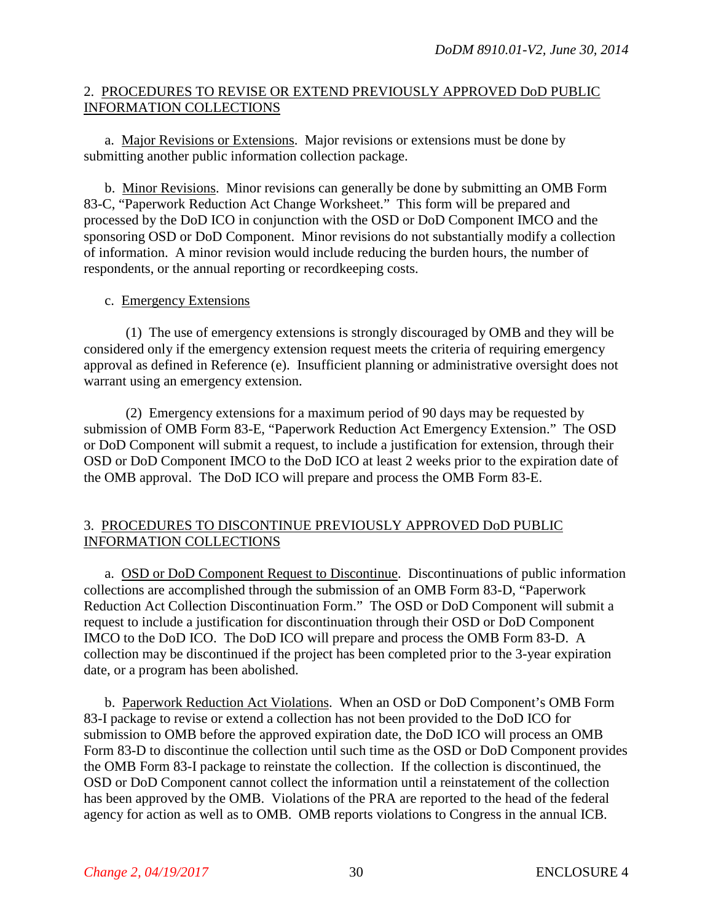## 2. PROCEDURES TO REVISE OR EXTEND PREVIOUSLY APPROVED DoD PUBLIC INFORMATION COLLECTIONS

a. Major Revisions or Extensions. Major revisions or extensions must be done by submitting another public information collection package.

b. Minor Revisions. Minor revisions can generally be done by submitting an OMB Form 83-C, "Paperwork Reduction Act Change Worksheet." This form will be prepared and processed by the DoD ICO in conjunction with the OSD or DoD Component IMCO and the sponsoring OSD or DoD Component. Minor revisions do not substantially modify a collection of information. A minor revision would include reducing the burden hours, the number of respondents, or the annual reporting or recordkeeping costs.

## c. Emergency Extensions

(1) The use of emergency extensions is strongly discouraged by OMB and they will be considered only if the emergency extension request meets the criteria of requiring emergency approval as defined in Reference (e). Insufficient planning or administrative oversight does not warrant using an emergency extension.

(2) Emergency extensions for a maximum period of 90 days may be requested by submission of OMB Form 83-E, "Paperwork Reduction Act Emergency Extension." The OSD or DoD Component will submit a request, to include a justification for extension, through their OSD or DoD Component IMCO to the DoD ICO at least 2 weeks prior to the expiration date of the OMB approval. The DoD ICO will prepare and process the OMB Form 83-E.

## 3. PROCEDURES TO DISCONTINUE PREVIOUSLY APPROVED DoD PUBLIC INFORMATION COLLECTIONS

a. OSD or DoD Component Request to Discontinue. Discontinuations of public information collections are accomplished through the submission of an OMB Form 83-D, "Paperwork Reduction Act Collection Discontinuation Form." The OSD or DoD Component will submit a request to include a justification for discontinuation through their OSD or DoD Component IMCO to the DoD ICO. The DoD ICO will prepare and process the OMB Form 83-D. A collection may be discontinued if the project has been completed prior to the 3-year expiration date, or a program has been abolished.

b. Paperwork Reduction Act Violations. When an OSD or DoD Component's OMB Form 83-I package to revise or extend a collection has not been provided to the DoD ICO for submission to OMB before the approved expiration date, the DoD ICO will process an OMB Form 83-D to discontinue the collection until such time as the OSD or DoD Component provides the OMB Form 83-I package to reinstate the collection. If the collection is discontinued, the OSD or DoD Component cannot collect the information until a reinstatement of the collection has been approved by the OMB. Violations of the PRA are reported to the head of the federal agency for action as well as to OMB. OMB reports violations to Congress in the annual ICB.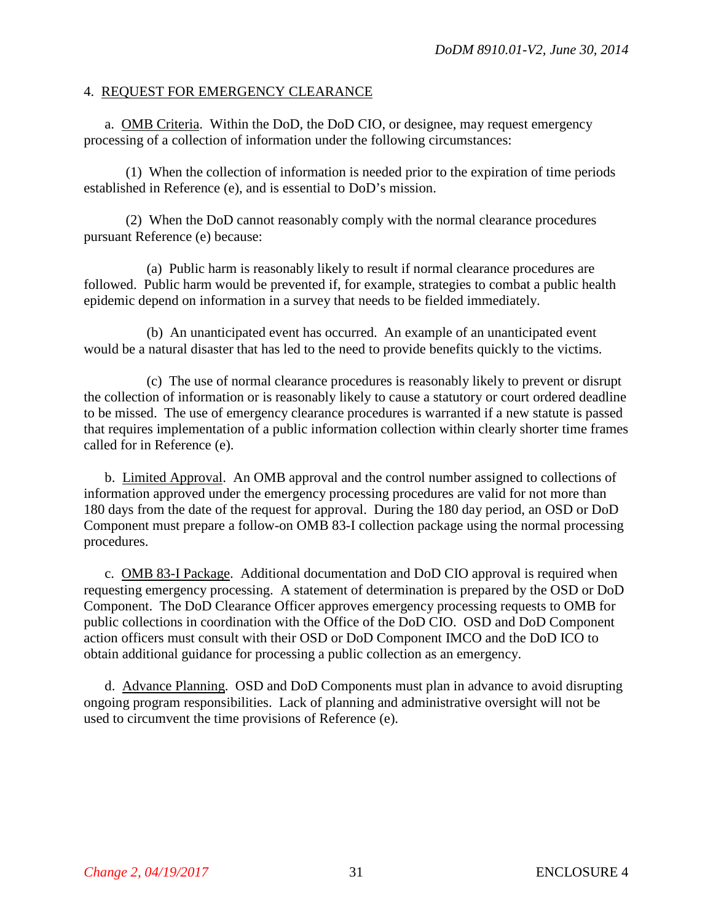#### 4. REQUEST FOR EMERGENCY CLEARANCE

a. OMB Criteria. Within the DoD, the DoD CIO, or designee, may request emergency processing of a collection of information under the following circumstances:

(1) When the collection of information is needed prior to the expiration of time periods established in Reference (e), and is essential to DoD's mission.

(2) When the DoD cannot reasonably comply with the normal clearance procedures pursuant Reference (e) because:

(a) Public harm is reasonably likely to result if normal clearance procedures are followed. Public harm would be prevented if, for example, strategies to combat a public health epidemic depend on information in a survey that needs to be fielded immediately.

(b) An unanticipated event has occurred. An example of an unanticipated event would be a natural disaster that has led to the need to provide benefits quickly to the victims.

(c) The use of normal clearance procedures is reasonably likely to prevent or disrupt the collection of information or is reasonably likely to cause a statutory or court ordered deadline to be missed. The use of emergency clearance procedures is warranted if a new statute is passed that requires implementation of a public information collection within clearly shorter time frames called for in Reference (e).

b. Limited Approval. An OMB approval and the control number assigned to collections of information approved under the emergency processing procedures are valid for not more than 180 days from the date of the request for approval. During the 180 day period, an OSD or DoD Component must prepare a follow-on OMB 83-I collection package using the normal processing procedures.

c. OMB 83-I Package. Additional documentation and DoD CIO approval is required when requesting emergency processing. A statement of determination is prepared by the OSD or DoD Component. The DoD Clearance Officer approves emergency processing requests to OMB for public collections in coordination with the Office of the DoD CIO. OSD and DoD Component action officers must consult with their OSD or DoD Component IMCO and the DoD ICO to obtain additional guidance for processing a public collection as an emergency.

d. Advance Planning. OSD and DoD Components must plan in advance to avoid disrupting ongoing program responsibilities. Lack of planning and administrative oversight will not be used to circumvent the time provisions of Reference (e).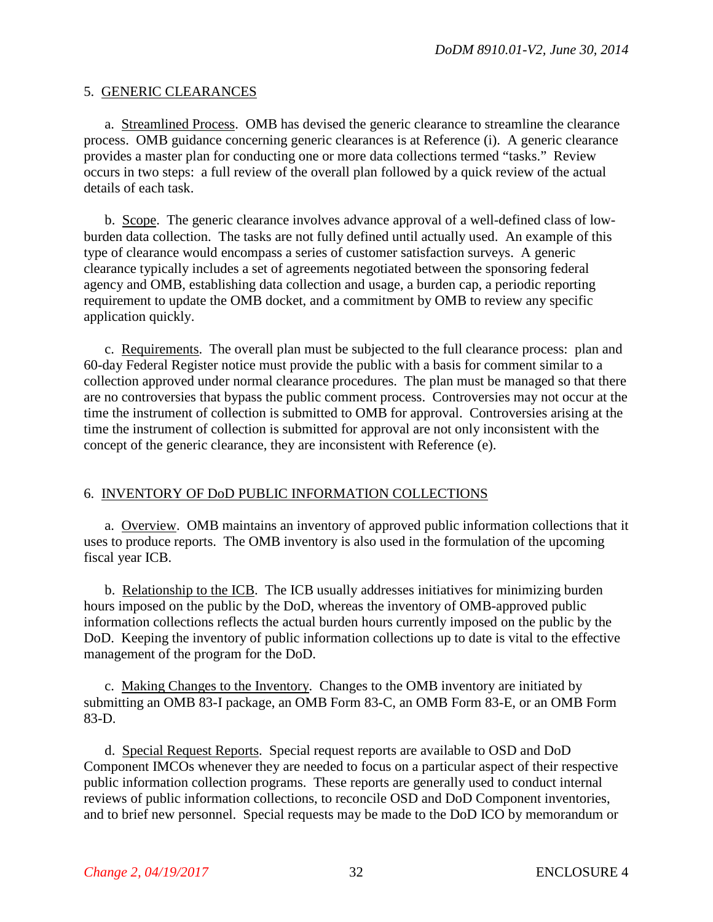#### 5. GENERIC CLEARANCES

a. Streamlined Process. OMB has devised the generic clearance to streamline the clearance process. OMB guidance concerning generic clearances is at Reference (i). A generic clearance provides a master plan for conducting one or more data collections termed "tasks." Review occurs in two steps: a full review of the overall plan followed by a quick review of the actual details of each task.

b. Scope. The generic clearance involves advance approval of a well-defined class of lowburden data collection. The tasks are not fully defined until actually used. An example of this type of clearance would encompass a series of customer satisfaction surveys. A generic clearance typically includes a set of agreements negotiated between the sponsoring federal agency and OMB, establishing data collection and usage, a burden cap, a periodic reporting requirement to update the OMB docket, and a commitment by OMB to review any specific application quickly.

c. Requirements. The overall plan must be subjected to the full clearance process: plan and 60-day Federal Register notice must provide the public with a basis for comment similar to a collection approved under normal clearance procedures. The plan must be managed so that there are no controversies that bypass the public comment process. Controversies may not occur at the time the instrument of collection is submitted to OMB for approval. Controversies arising at the time the instrument of collection is submitted for approval are not only inconsistent with the concept of the generic clearance, they are inconsistent with Reference (e).

## 6. INVENTORY OF DoD PUBLIC INFORMATION COLLECTIONS

a. Overview. OMB maintains an inventory of approved public information collections that it uses to produce reports. The OMB inventory is also used in the formulation of the upcoming fiscal year ICB.

b. Relationship to the ICB. The ICB usually addresses initiatives for minimizing burden hours imposed on the public by the DoD, whereas the inventory of OMB-approved public information collections reflects the actual burden hours currently imposed on the public by the DoD. Keeping the inventory of public information collections up to date is vital to the effective management of the program for the DoD.

c. Making Changes to the Inventory. Changes to the OMB inventory are initiated by submitting an OMB 83-I package, an OMB Form 83-C, an OMB Form 83-E, or an OMB Form 83-D.

d. Special Request Reports. Special request reports are available to OSD and DoD Component IMCOs whenever they are needed to focus on a particular aspect of their respective public information collection programs. These reports are generally used to conduct internal reviews of public information collections, to reconcile OSD and DoD Component inventories, and to brief new personnel. Special requests may be made to the DoD ICO by memorandum or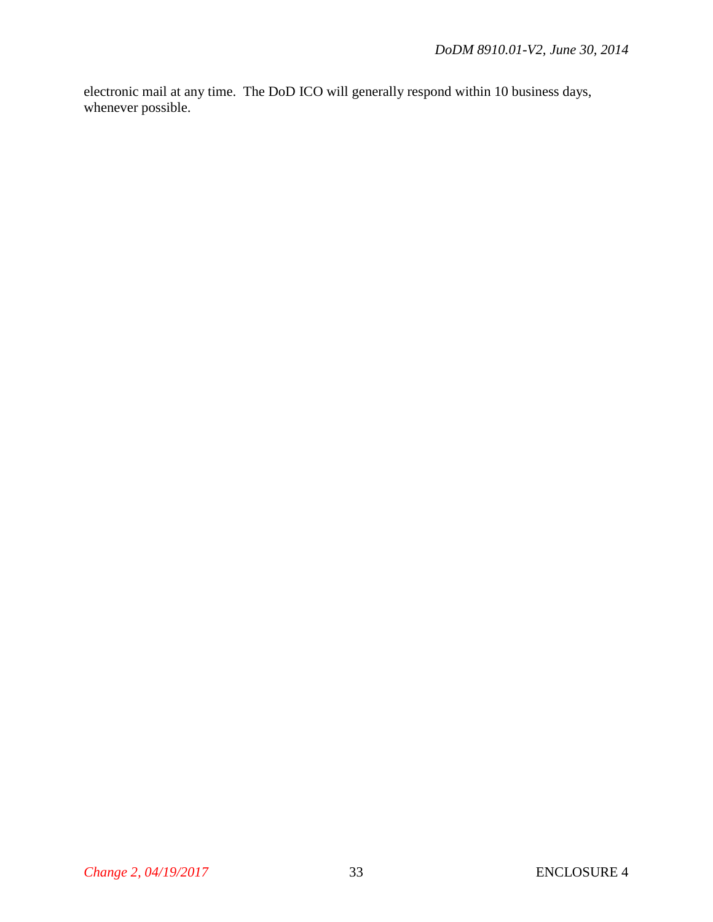electronic mail at any time. The DoD ICO will generally respond within 10 business days, whenever possible.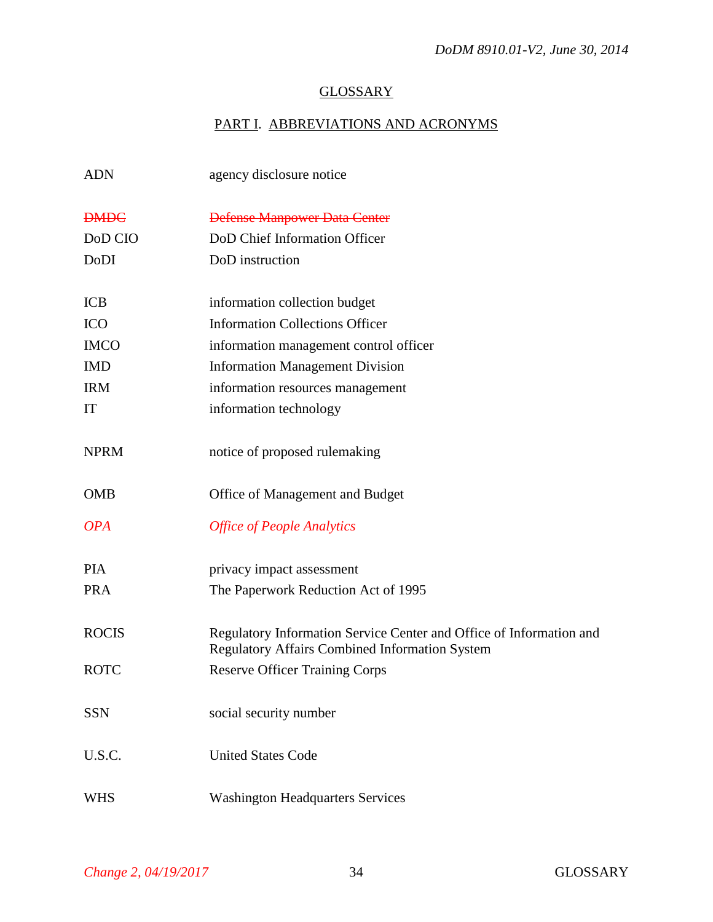# **GLOSSARY**

# PART I. ABBREVIATIONS AND ACRONYMS

| <b>ADN</b>   | agency disclosure notice                                                                                                     |
|--------------|------------------------------------------------------------------------------------------------------------------------------|
| <b>DMDC</b>  | <b>Defense Manpower Data Center</b>                                                                                          |
| DoD CIO      | DoD Chief Information Officer                                                                                                |
| DoDI         | DoD instruction                                                                                                              |
| <b>ICB</b>   | information collection budget                                                                                                |
| <b>ICO</b>   | <b>Information Collections Officer</b>                                                                                       |
| <b>IMCO</b>  | information management control officer                                                                                       |
| <b>IMD</b>   | <b>Information Management Division</b>                                                                                       |
| <b>IRM</b>   | information resources management                                                                                             |
| IT           | information technology                                                                                                       |
| <b>NPRM</b>  | notice of proposed rulemaking                                                                                                |
| <b>OMB</b>   | Office of Management and Budget                                                                                              |
| <b>OPA</b>   | <b>Office of People Analytics</b>                                                                                            |
| <b>PIA</b>   | privacy impact assessment                                                                                                    |
| <b>PRA</b>   | The Paperwork Reduction Act of 1995                                                                                          |
| <b>ROCIS</b> | Regulatory Information Service Center and Office of Information and<br><b>Regulatory Affairs Combined Information System</b> |
| <b>ROTC</b>  | <b>Reserve Officer Training Corps</b>                                                                                        |
| <b>SSN</b>   | social security number                                                                                                       |
| U.S.C.       | <b>United States Code</b>                                                                                                    |
| <b>WHS</b>   | <b>Washington Headquarters Services</b>                                                                                      |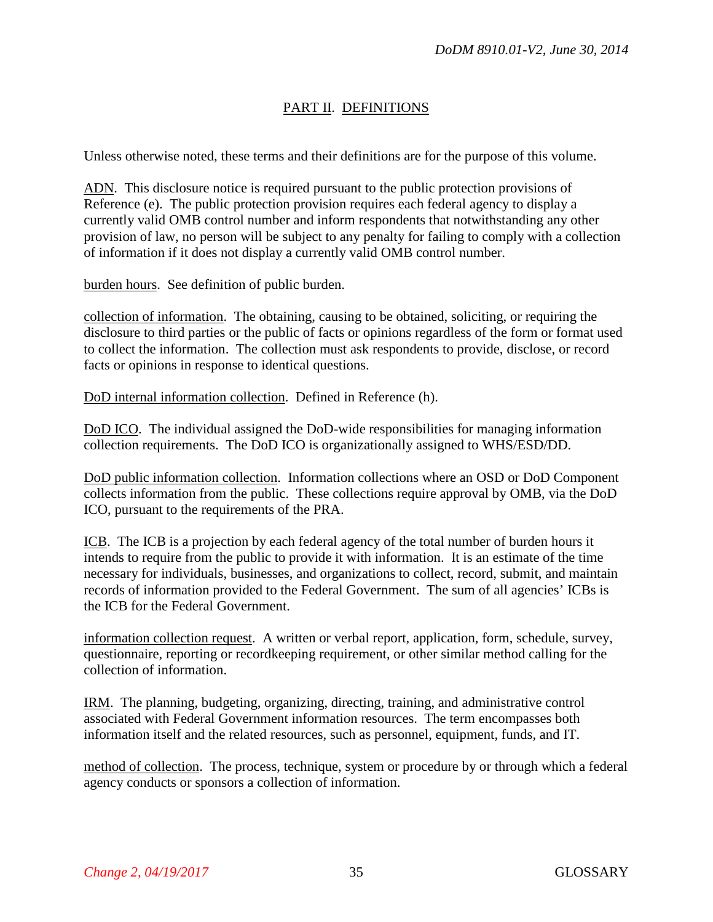## PART II. DEFINITIONS

Unless otherwise noted, these terms and their definitions are for the purpose of this volume.

ADN. This disclosure notice is required pursuant to the public protection provisions of Reference (e). The public protection provision requires each federal agency to display a currently valid OMB control number and inform respondents that notwithstanding any other provision of law, no person will be subject to any penalty for failing to comply with a collection of information if it does not display a currently valid OMB control number.

burden hours. See definition of public burden.

collection of information. The obtaining, causing to be obtained, soliciting, or requiring the disclosure to third parties or the public of facts or opinions regardless of the form or format used to collect the information. The collection must ask respondents to provide, disclose, or record facts or opinions in response to identical questions.

DoD internal information collection. Defined in Reference (h).

DoD ICO. The individual assigned the DoD-wide responsibilities for managing information collection requirements. The DoD ICO is organizationally assigned to WHS/ESD/DD.

DoD public information collection. Information collections where an OSD or DoD Component collects information from the public. These collections require approval by OMB, via the DoD ICO, pursuant to the requirements of the PRA.

ICB. The ICB is a projection by each federal agency of the total number of burden hours it intends to require from the public to provide it with information. It is an estimate of the time necessary for individuals, businesses, and organizations to collect, record, submit, and maintain records of information provided to the Federal Government. The sum of all agencies' ICBs is the ICB for the Federal Government.

information collection request. A written or verbal report, application, form, schedule, survey, questionnaire, reporting or recordkeeping requirement, or other similar method calling for the collection of information.

IRM. The planning, budgeting, organizing, directing, training, and administrative control associated with Federal Government information resources. The term encompasses both information itself and the related resources, such as personnel, equipment, funds, and IT.

method of collection. The process, technique, system or procedure by or through which a federal agency conducts or sponsors a collection of information.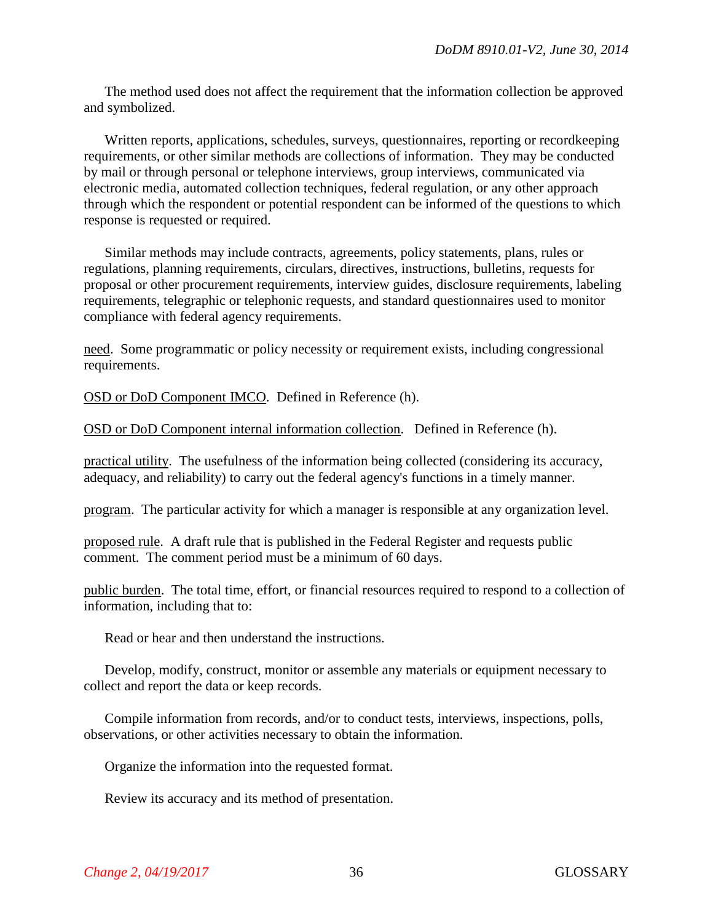The method used does not affect the requirement that the information collection be approved and symbolized.

Written reports, applications, schedules, surveys, questionnaires, reporting or recordkeeping requirements, or other similar methods are collections of information. They may be conducted by mail or through personal or telephone interviews, group interviews, communicated via electronic media, automated collection techniques, federal regulation, or any other approach through which the respondent or potential respondent can be informed of the questions to which response is requested or required.

Similar methods may include contracts, agreements, policy statements, plans, rules or regulations, planning requirements, circulars, directives, instructions, bulletins, requests for proposal or other procurement requirements, interview guides, disclosure requirements, labeling requirements, telegraphic or telephonic requests, and standard questionnaires used to monitor compliance with federal agency requirements.

need. Some programmatic or policy necessity or requirement exists, including congressional requirements.

OSD or DoD Component IMCO. Defined in Reference (h).

OSD or DoD Component internal information collection. Defined in Reference (h).

practical utility. The usefulness of the information being collected (considering its accuracy, adequacy, and reliability) to carry out the federal agency's functions in a timely manner.

program. The particular activity for which a manager is responsible at any organization level.

proposed rule. A draft rule that is published in the Federal Register and requests public comment. The comment period must be a minimum of 60 days.

public burden. The total time, effort, or financial resources required to respond to a collection of information, including that to:

Read or hear and then understand the instructions.

Develop, modify, construct, monitor or assemble any materials or equipment necessary to collect and report the data or keep records.

Compile information from records, and/or to conduct tests, interviews, inspections, polls, observations, or other activities necessary to obtain the information.

Organize the information into the requested format.

Review its accuracy and its method of presentation.